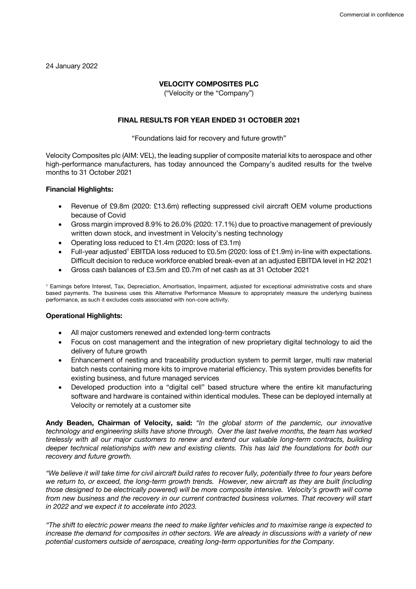24 January 2022

# **VELOCITY COMPOSITES PLC**

("Velocity or the "Company")

# **FINAL RESULTS FOR YEAR ENDED 31 OCTOBER 2021**

#### "Foundations laid for recovery and future growth"

Velocity Composites plc (AIM: VEL), the leading supplier of composite material kits to aerospace and other high-performance manufacturers, has today announced the Company's audited results for the twelve months to 31 October 2021

#### **Financial Highlights:**

- Revenue of £9.8m (2020: £13.6m) reflecting suppressed civil aircraft OEM volume productions because of Covid
- Gross margin improved 8.9% to 26.0% (2020: 17.1%) due to proactive management of previously written down stock, and investment in Velocity's nesting technology
- Operating loss reduced to £1.4m (2020: loss of £3.1m)
- Full-year adjusted<sup>1</sup> EBITDA loss reduced to £0.5m (2020: loss of £1.9m) in-line with expectations. Difficult decision to reduce workforce enabled break-even at an adjusted EBITDA level in H2 2021
- Gross cash balances of £3.5m and £0.7m of net cash as at 31 October 2021

<sup>1</sup> Earnings before Interest, Tax, Depreciation, Amortisation, Impairment, adjusted for exceptional administrative costs and share based payments. The business uses this Alternative Performance Measure to appropriately measure the underlying business performance, as such it excludes costs associated with non-core activity.

#### **Operational Highlights:**

- All major customers renewed and extended long-term contracts
- Focus on cost management and the integration of new proprietary digital technology to aid the delivery of future growth
- Enhancement of nesting and traceability production system to permit larger, multi raw material batch nests containing more kits to improve material efficiency. This system provides benefits for existing business, and future managed services
- Developed production into a "digital cell" based structure where the entire kit manufacturing software and hardware is contained within identical modules. These can be deployed internally at Velocity or remotely at a customer site

**Andy Beaden, Chairman of Velocity, said:** *"In the global storm of the pandemic, our innovative technology and engineering skills have shone through. Over the last twelve months, the team has worked tirelessly with all our major customers to renew and extend our valuable long-term contracts, building deeper technical relationships with new and existing clients. This has laid the foundations for both our recovery and future growth.*

*"We believe it will take time for civil aircraft build rates to recover fully, potentially three to four years before we return to, or exceed, the long-term growth trends. However, new aircraft as they are built (including those designed to be electrically powered) will be more composite intensive. Velocity's growth will come from new business and the recovery in our current contracted business volumes. That recovery will start in 2022 and we expect it to accelerate into 2023.*

*"The shift to electric power means the need to make lighter vehicles and to maximise range is expected to increase the demand for composites in other sectors. We are already in discussions with a variety of new potential customers outside of aerospace, creating long-term opportunities for the Company.*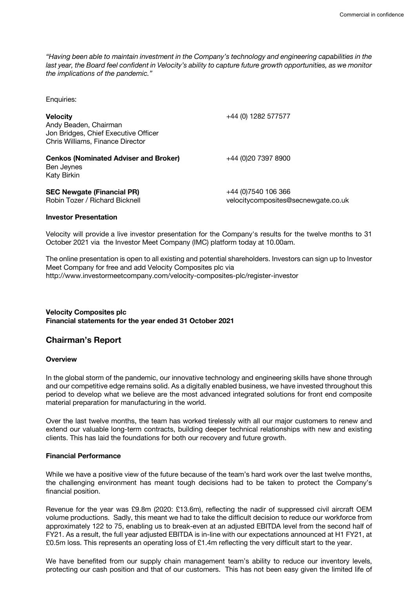*"Having been able to maintain investment in the Company's technology and engineering capabilities in the*  last year, the Board feel confident in Velocity's ability to capture future growth opportunities, as we monitor *the implications of the pandemic."* 

Enquiries:

| <b>Velocity</b><br>Andy Beaden, Chairman<br>Jon Bridges, Chief Executive Officer<br>Chris Williams, Finance Director | +44 (0) 1282 577577                                         |
|----------------------------------------------------------------------------------------------------------------------|-------------------------------------------------------------|
| <b>Cenkos (Nominated Adviser and Broker)</b><br>Ben Jeynes<br><b>Katy Birkin</b>                                     | +44 (0)20 7397 8900                                         |
| <b>SEC Newgate (Financial PR)</b><br>Robin Tozer / Richard Bicknell                                                  | +44 (0) 7540 106 366<br>velocitycomposites@secnewgate.co.uk |

#### **Investor Presentation**

Velocity will provide a live investor presentation for the Company's results for the twelve months to 31 October 2021 via the Investor Meet Company (IMC) platform today at 10.00am.

The online presentation is open to all existing and potential shareholders. Investors can sign up to Investor Meet Company for free and add Velocity Composites plc via http://www.investormeetcompany.com/velocity-composites-plc/register-investor

#### **Velocity Composites plc Financial statements for the year ended 31 October 2021**

# **Chairman's Report**

#### **Overview**

In the global storm of the pandemic, our innovative technology and engineering skills have shone through and our competitive edge remains solid. As a digitally enabled business, we have invested throughout this period to develop what we believe are the most advanced integrated solutions for front end composite material preparation for manufacturing in the world.

Over the last twelve months, the team has worked tirelessly with all our major customers to renew and extend our valuable long-term contracts, building deeper technical relationships with new and existing clients. This has laid the foundations for both our recovery and future growth.

# **Financial Performance**

While we have a positive view of the future because of the team's hard work over the last twelve months, the challenging environment has meant tough decisions had to be taken to protect the Company's financial position.

Revenue for the year was £9.8m (2020: £13.6m), reflecting the nadir of suppressed civil aircraft OEM volume productions. Sadly, this meant we had to take the difficult decision to reduce our workforce from approximately 122 to 75, enabling us to break-even at an adjusted EBITDA level from the second half of FY21. As a result, the full year adjusted EBITDA is in-line with our expectations announced at H1 FY21, at £0.5m loss. This represents an operating loss of £1.4m reflecting the very difficult start to the year.

We have benefited from our supply chain management team's ability to reduce our inventory levels, protecting our cash position and that of our customers. This has not been easy given the limited life of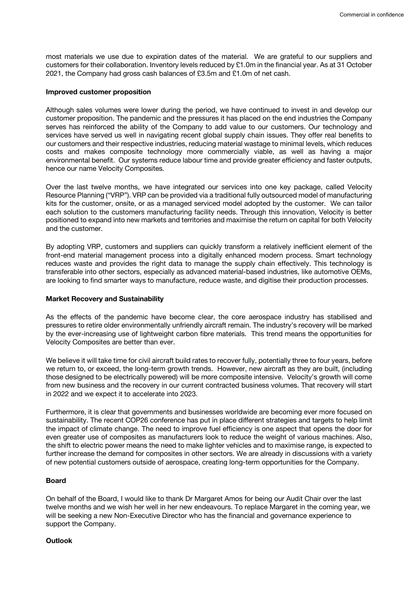most materials we use due to expiration dates of the material. We are grateful to our suppliers and customers for their collaboration. Inventory levels reduced by £1.0m in the financial year. As at 31 October 2021, the Company had gross cash balances of £3.5m and £1.0m of net cash.

#### **Improved customer proposition**

Although sales volumes were lower during the period, we have continued to invest in and develop our customer proposition. The pandemic and the pressures it has placed on the end industries the Company serves has reinforced the ability of the Company to add value to our customers. Our technology and services have served us well in navigating recent global supply chain issues. They offer real benefits to our customers and their respective industries, reducing material wastage to minimal levels, which reduces costs and makes composite technology more commercially viable, as well as having a major environmental benefit. Our systems reduce labour time and provide greater efficiency and faster outputs, hence our name Velocity Composites.

Over the last twelve months, we have integrated our services into one key package, called Velocity Resource Planning ("VRP"). VRP can be provided via a traditional fully outsourced model of manufacturing kits for the customer, onsite, or as a managed serviced model adopted by the customer. We can tailor each solution to the customers manufacturing facility needs. Through this innovation, Velocity is better positioned to expand into new markets and territories and maximise the return on capital for both Velocity and the customer.

By adopting VRP, customers and suppliers can quickly transform a relatively inefficient element of the front-end material management process into a digitally enhanced modern process. Smart technology reduces waste and provides the right data to manage the supply chain effectively. This technology is transferable into other sectors, especially as advanced material-based industries, like automotive OEMs, are looking to find smarter ways to manufacture, reduce waste, and digitise their production processes.

#### **Market Recovery and Sustainability**

As the effects of the pandemic have become clear, the core aerospace industry has stabilised and pressures to retire older environmentally unfriendly aircraft remain. The industry's recovery will be marked by the ever-increasing use of lightweight carbon fibre materials. This trend means the opportunities for Velocity Composites are better than ever.

We believe it will take time for civil aircraft build rates to recover fully, potentially three to four years, before we return to, or exceed, the long-term growth trends. However, new aircraft as they are built, (including those designed to be electrically powered) will be more composite intensive. Velocity's growth will come from new business and the recovery in our current contracted business volumes. That recovery will start in 2022 and we expect it to accelerate into 2023.

Furthermore, it is clear that governments and businesses worldwide are becoming ever more focused on sustainability. The recent COP26 conference has put in place different strategies and targets to help limit the impact of climate change. The need to improve fuel efficiency is one aspect that opens the door for even greater use of composites as manufacturers look to reduce the weight of various machines. Also, the shift to electric power means the need to make lighter vehicles and to maximise range, is expected to further increase the demand for composites in other sectors. We are already in discussions with a variety of new potential customers outside of aerospace, creating long-term opportunities for the Company.

#### **Board**

On behalf of the Board, I would like to thank Dr Margaret Amos for being our Audit Chair over the last twelve months and we wish her well in her new endeavours. To replace Margaret in the coming year, we will be seeking a new Non-Executive Director who has the financial and governance experience to support the Company.

## **Outlook**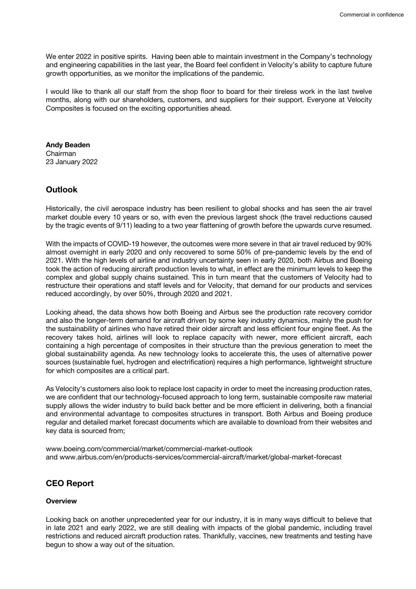We enter 2022 in positive spirits. Having been able to maintain investment in the Company's technology and engineering capabilities in the last year, the Board feel confident in Velocity's ability to capture future growth opportunities, as we monitor the implications of the pandemic.

I would like to thank all our staff from the shop floor to board for their tireless work in the last twelve months, along with our shareholders, customers, and suppliers for their support. Everyone at Velocity Composites is focused on the exciting opportunities ahead.

**Andy Beaden**  Chairman 23 January 2022

# **Outlook**

Historically, the civil aerospace industry has been resilient to global shocks and has seen the air travel market double every 10 years or so, with even the previous largest shock (the travel reductions caused by the tragic events of 9/11) leading to a two year flattening of growth before the upwards curve resumed.

With the impacts of COVID-19 however, the outcomes were more severe in that air travel reduced by 90% almost overnight in early 2020 and only recovered to some 50% of pre-pandemic levels by the end of 2021. With the high levels of airline and industry uncertainty seen in early 2020, both Airbus and Boeing took the action of reducing aircraft production levels to what, in effect are the minimum levels to keep the complex and global supply chains sustained. This in turn meant that the customers of Velocity had to restructure their operations and staff levels and for Velocity, that demand for our products and services reduced accordingly, by over 50%, through 2020 and 2021.

Looking ahead, the data shows how both Boeing and Airbus see the production rate recovery corridor and also the longer-term demand for aircraft driven by some key industry dynamics, mainly the push for the sustainability of airlines who have retired their older aircraft and less efficient four engine fleet. As the recovery takes hold, airlines will look to replace capacity with newer, more efficient aircraft, each containing a high percentage of composites in their structure than the previous generation to meet the global sustainability agenda. As new technology looks to accelerate this, the uses of alternative power sources (sustainable fuel, hydrogen and electrification) requires a high performance, lightweight structure for which composites are a critical part.

As Velocity's customers also look to replace lost capacity in order to meet the increasing production rates, we are confident that our technology-focused approach to long term, sustainable composite raw material supply allows the wider industry to build back better and be more efficient in delivering, both a financial and environmental advantage to composites structures in transport. Both Airbus and Boeing produce regular and detailed market forecast documents which are available to download from their websites and key data is sourced from;

www.boeing.com/commercial/market/commercial-market-outlook and www.airbus.com/en/products-services/commercial-aircraft/market/global-market-forecast

# **CEO Report**

# **Overview**

Looking back on another unprecedented year for our industry, it is in many ways difficult to believe that in late 2021 and early 2022, we are still dealing with impacts of the global pandemic, including travel restrictions and reduced aircraft production rates. Thankfully, vaccines, new treatments and testing have begun to show a way out of the situation.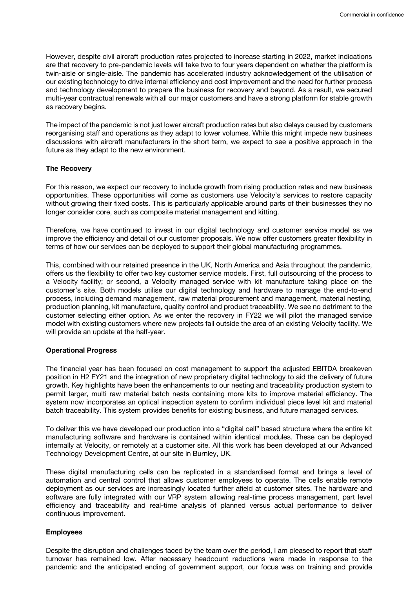However, despite civil aircraft production rates projected to increase starting in 2022, market indications are that recovery to pre-pandemic levels will take two to four years dependent on whether the platform is twin-aisle or single-aisle. The pandemic has accelerated industry acknowledgement of the utilisation of our existing technology to drive internal efficiency and cost improvement and the need for further process and technology development to prepare the business for recovery and beyond. As a result, we secured multi-year contractual renewals with all our major customers and have a strong platform for stable growth as recovery begins.

The impact of the pandemic is not just lower aircraft production rates but also delays caused by customers reorganising staff and operations as they adapt to lower volumes. While this might impede new business discussions with aircraft manufacturers in the short term, we expect to see a positive approach in the future as they adapt to the new environment.

#### **The Recovery**

For this reason, we expect our recovery to include growth from rising production rates and new business opportunities. These opportunities will come as customers use Velocity's services to restore capacity without growing their fixed costs. This is particularly applicable around parts of their businesses they no longer consider core, such as composite material management and kitting.

Therefore, we have continued to invest in our digital technology and customer service model as we improve the efficiency and detail of our customer proposals. We now offer customers greater flexibility in terms of how our services can be deployed to support their global manufacturing programmes.

This, combined with our retained presence in the UK, North America and Asia throughout the pandemic, offers us the flexibility to offer two key customer service models. First, full outsourcing of the process to a Velocity facility; or second, a Velocity managed service with kit manufacture taking place on the customer's site. Both models utilise our digital technology and hardware to manage the end-to-end process, including demand management, raw material procurement and management, material nesting, production planning, kit manufacture, quality control and product traceability. We see no detriment to the customer selecting either option. As we enter the recovery in FY22 we will pilot the managed service model with existing customers where new projects fall outside the area of an existing Velocity facility. We will provide an update at the half-year.

#### **Operational Progress**

The financial year has been focused on cost management to support the adjusted EBITDA breakeven position in H2 FY21 and the integration of new proprietary digital technology to aid the delivery of future growth. Key highlights have been the enhancements to our nesting and traceability production system to permit larger, multi raw material batch nests containing more kits to improve material efficiency. The system now incorporates an optical inspection system to confirm individual piece level kit and material batch traceability. This system provides benefits for existing business, and future managed services.

To deliver this we have developed our production into a "digital cell" based structure where the entire kit manufacturing software and hardware is contained within identical modules. These can be deployed internally at Velocity, or remotely at a customer site. All this work has been developed at our Advanced Technology Development Centre, at our site in Burnley, UK.

These digital manufacturing cells can be replicated in a standardised format and brings a level of automation and central control that allows customer employees to operate. The cells enable remote deployment as our services are increasingly located further afield at customer sites. The hardware and software are fully integrated with our VRP system allowing real-time process management, part level efficiency and traceability and real-time analysis of planned versus actual performance to deliver continuous improvement.

#### **Employees**

Despite the disruption and challenges faced by the team over the period, I am pleased to report that staff turnover has remained low. After necessary headcount reductions were made in response to the pandemic and the anticipated ending of government support, our focus was on training and provide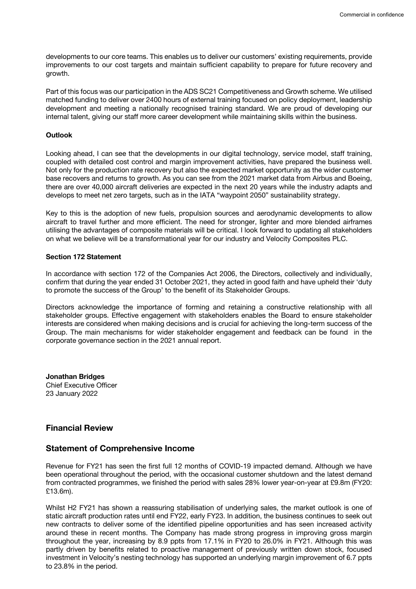developments to our core teams. This enables us to deliver our customers' existing requirements, provide improvements to our cost targets and maintain sufficient capability to prepare for future recovery and growth.

Part of this focus was our participation in the ADS SC21 Competitiveness and Growth scheme. We utilised matched funding to deliver over 2400 hours of external training focused on policy deployment, leadership development and meeting a nationally recognised training standard. We are proud of developing our internal talent, giving our staff more career development while maintaining skills within the business.

# **Outlook**

Looking ahead, I can see that the developments in our digital technology, service model, staff training, coupled with detailed cost control and margin improvement activities, have prepared the business well. Not only for the production rate recovery but also the expected market opportunity as the wider customer base recovers and returns to growth. As you can see from the 2021 market data from Airbus and Boeing, there are over 40,000 aircraft deliveries are expected in the next 20 years while the industry adapts and develops to meet net zero targets, such as in the IATA "waypoint 2050" sustainability strategy.

Key to this is the adoption of new fuels, propulsion sources and aerodynamic developments to allow aircraft to travel further and more efficient. The need for stronger, lighter and more blended airframes utilising the advantages of composite materials will be critical. I look forward to updating all stakeholders on what we believe will be a transformational year for our industry and Velocity Composites PLC.

# **Section 172 Statement**

In accordance with section 172 of the Companies Act 2006, the Directors, collectively and individually, confirm that during the year ended 31 October 2021, they acted in good faith and have upheld their 'duty to promote the success of the Group' to the benefit of its Stakeholder Groups.

Directors acknowledge the importance of forming and retaining a constructive relationship with all stakeholder groups. Effective engagement with stakeholders enables the Board to ensure stakeholder interests are considered when making decisions and is crucial for achieving the long-term success of the Group. The main mechanisms for wider stakeholder engagement and feedback can be found in the corporate governance section in the 2021 annual report.

**Jonathan Bridges** Chief Executive Officer 23 January 2022

# **Financial Review**

# **Statement of Comprehensive Income**

Revenue for FY21 has seen the first full 12 months of COVID-19 impacted demand. Although we have been operational throughout the period, with the occasional customer shutdown and the latest demand from contracted programmes, we finished the period with sales 28% lower year-on-year at £9.8m (FY20: £13.6m).

Whilst H2 FY21 has shown a reassuring stabilisation of underlying sales, the market outlook is one of static aircraft production rates until end FY22, early FY23. In addition, the business continues to seek out new contracts to deliver some of the identified pipeline opportunities and has seen increased activity around these in recent months. The Company has made strong progress in improving gross margin throughout the year, increasing by 8.9 ppts from 17.1% in FY20 to 26.0% in FY21. Although this was partly driven by benefits related to proactive management of previously written down stock, focused investment in Velocity's nesting technology has supported an underlying margin improvement of 6.7 ppts to 23.8% in the period.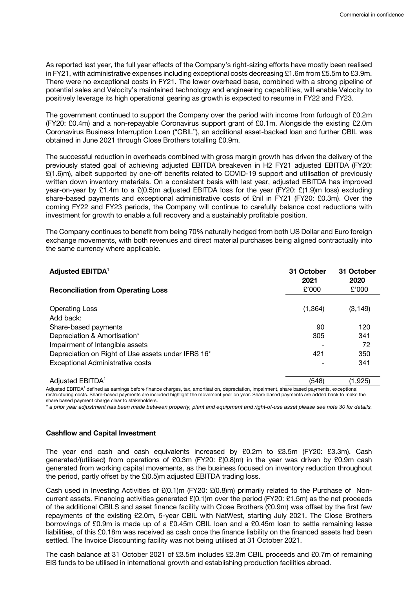As reported last year, the full year effects of the Company's right-sizing efforts have mostly been realised in FY21, with administrative expenses including exceptional costs decreasing £1.6m from £5.5m to £3.9m. There were no exceptional costs in FY21. The lower overhead base, combined with a strong pipeline of potential sales and Velocity's maintained technology and engineering capabilities, will enable Velocity to positively leverage its high operational gearing as growth is expected to resume in FY22 and FY23.

The government continued to support the Company over the period with income from furlough of £0.2m (FY20: £0.4m) and a non-repayable Coronavirus support grant of £0.1m. Alongside the existing £2.0m Coronavirus Business Interruption Loan ("CBIL"), an additional asset-backed loan and further CBIL was obtained in June 2021 through Close Brothers totalling £0.9m.

The successful reduction in overheads combined with gross margin growth has driven the delivery of the previously stated goal of achieving adjusted EBITDA breakeven in H2 FY21 adjusted EBITDA (FY20: £(1.6)m), albeit supported by one-off benefits related to COVID-19 support and utilisation of previously written down inventory materials. On a consistent basis with last year, adjusted EBITDA has improved year-on-year by £1.4m to a £(0.5)m adjusted EBITDA loss for the year (FY20: £(1.9)m loss) excluding share-based payments and exceptional administrative costs of £nil in FY21 (FY20: £0.3m). Over the coming FY22 and FY23 periods, the Company will continue to carefully balance cost reductions with investment for growth to enable a full recovery and a sustainably profitable position.

The Company continues to benefit from being 70% naturally hedged from both US Dollar and Euro foreign exchange movements, with both revenues and direct material purchases being aligned contractually into the same currency where applicable.

| <b>Adjusted EBITDA<sup>1</sup></b>                 | 31 October<br>2021 | 31 October<br>2020 |
|----------------------------------------------------|--------------------|--------------------|
| <b>Reconciliation from Operating Loss</b>          | £'000              | £'000              |
| <b>Operating Loss</b><br>Add back:                 | (1, 364)           | (3, 149)           |
| Share-based payments                               | 90                 | 120                |
| Depreciation & Amortisation*                       | 305                | 341                |
| Impairment of Intangible assets                    |                    | 72                 |
| Depreciation on Right of Use assets under IFRS 16* | 421                | 350                |
| <b>Exceptional Administrative costs</b>            |                    | 341                |
|                                                    |                    |                    |

Adjusted EBITDA<sup>1</sup> (548) (1,925) Adjusted EBITDA<sup>1</sup> defined as earnings before finance charges, tax, amortisation, depreciation, impairment, share based payments, exceptional restructuring costs. Share-based payments are included highlight the movement year on year. Share based payments are added back to make the share based payment charge clear to stakeholders.

*\* a prior year adjustment has been made between property, plant and equipment and right-of-use asset please see note 30 for details.*

#### **Cashflow and Capital Investment**

The year end cash and cash equivalents increased by £0.2m to £3.5m (FY20: £3.3m). Cash generated/(utilised) from operations of £0.3m (FY20: £(0.8)m) in the year was driven by £0.9m cash generated from working capital movements, as the business focused on inventory reduction throughout the period, partly offset by the £(0.5)m adjusted EBITDA trading loss.

Cash used in Investing Activities of £(0.1)m (FY20: £(0.8)m) primarily related to the Purchase of Noncurrent assets. Financing activities generated £(0.1)m over the period (FY20: £1.5m) as the net proceeds of the additional CBILS and asset finance facility with Close Brothers (£0.9m) was offset by the first few repayments of the existing £2.0m, 5-year CBIL with NatWest, starting July 2021. The Close Brothers borrowings of £0.9m is made up of a £0.45m CBIL loan and a £0.45m loan to settle remaining lease liabilities, of this £0.18m was received as cash once the finance liability on the financed assets had been settled. The Invoice Discounting facility was not being utilised at 31 October 2021.

The cash balance at 31 October 2021 of £3.5m includes £2.3m CBIL proceeds and £0.7m of remaining EIS funds to be utilised in international growth and establishing production facilities abroad.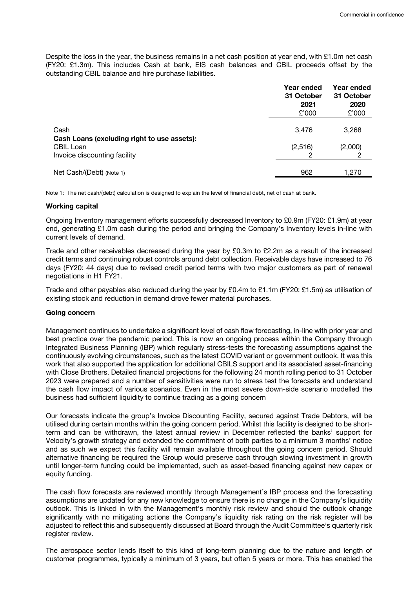Despite the loss in the year, the business remains in a net cash position at year end, with £1.0m net cash (FY20: £1.3m). This includes Cash at bank, EIS cash balances and CBIL proceeds offset by the outstanding CBIL balance and hire purchase liabilities.

|                                                                                          | Year ended<br>31 October<br>2021<br>£'000 | Year ended<br>31 October<br>2020<br>£'000 |
|------------------------------------------------------------------------------------------|-------------------------------------------|-------------------------------------------|
| Cash                                                                                     | 3,476                                     | 3,268                                     |
| Cash Loans (excluding right to use assets):<br>CBIL Loan<br>Invoice discounting facility | (2,516)                                   | (2,000)                                   |
| Net Cash/(Debt) (Note 1)                                                                 | 962                                       | 1,270                                     |

Note 1: The net cash/(debt) calculation is designed to explain the level of financial debt, net of cash at bank.

#### **Working capital**

Ongoing Inventory management efforts successfully decreased Inventory to £0.9m (FY20: £1.9m) at year end, generating £1.0m cash during the period and bringing the Company's Inventory levels in-line with current levels of demand.

Trade and other receivables decreased during the year by £0.3m to £2.2m as a result of the increased credit terms and continuing robust controls around debt collection. Receivable days have increased to 76 days (FY20: 44 days) due to revised credit period terms with two major customers as part of renewal negotiations in H1 FY21.

Trade and other payables also reduced during the year by £0.4m to £1.1m (FY20: £1.5m) as utilisation of existing stock and reduction in demand drove fewer material purchases.

#### **Going concern**

Management continues to undertake a significant level of cash flow forecasting, in-line with prior year and best practice over the pandemic period. This is now an ongoing process within the Company through Integrated Business Planning (IBP) which regularly stress-tests the forecasting assumptions against the continuously evolving circumstances, such as the latest COVID variant or government outlook. It was this work that also supported the application for additional CBILS support and its associated asset-financing with Close Brothers. Detailed financial projections for the following 24 month rolling period to 31 October 2023 were prepared and a number of sensitivities were run to stress test the forecasts and understand the cash flow impact of various scenarios. Even in the most severe down-side scenario modelled the business had sufficient liquidity to continue trading as a going concern

Our forecasts indicate the group's Invoice Discounting Facility, secured against Trade Debtors, will be utilised during certain months within the going concern period. Whilst this facility is designed to be shortterm and can be withdrawn, the latest annual review in December reflected the banks' support for Velocity's growth strategy and extended the commitment of both parties to a minimum 3 months' notice and as such we expect this facility will remain available throughout the going concern period. Should alternative financing be required the Group would preserve cash through slowing investment in growth until longer-term funding could be implemented, such as asset-based financing against new capex or equity funding.

The cash flow forecasts are reviewed monthly through Management's IBP process and the forecasting assumptions are updated for any new knowledge to ensure there is no change in the Company's liquidity outlook. This is linked in with the Management's monthly risk review and should the outlook change significantly with no mitigating actions the Company's liquidity risk rating on the risk register will be adjusted to reflect this and subsequently discussed at Board through the Audit Committee's quarterly risk register review.

The aerospace sector lends itself to this kind of long-term planning due to the nature and length of customer programmes, typically a minimum of 3 years, but often 5 years or more. This has enabled the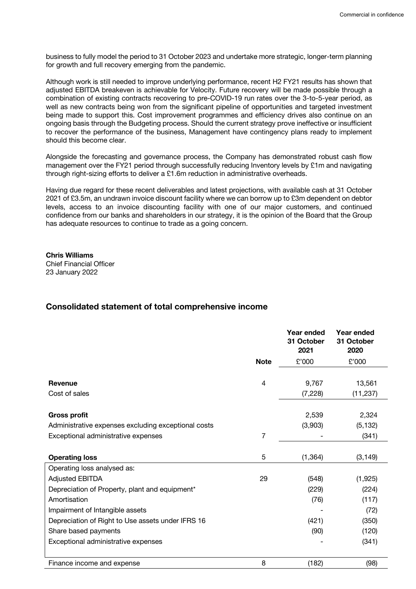business to fully model the period to 31 October 2023 and undertake more strategic, longer-term planning for growth and full recovery emerging from the pandemic.

Although work is still needed to improve underlying performance, recent H2 FY21 results has shown that adjusted EBITDA breakeven is achievable for Velocity. Future recovery will be made possible through a combination of existing contracts recovering to pre-COVID-19 run rates over the 3-to-5-year period, as well as new contracts being won from the significant pipeline of opportunities and targeted investment being made to support this. Cost improvement programmes and efficiency drives also continue on an ongoing basis through the Budgeting process. Should the current strategy prove ineffective or insufficient to recover the performance of the business, Management have contingency plans ready to implement should this become clear.

Alongside the forecasting and governance process, the Company has demonstrated robust cash flow management over the FY21 period through successfully reducing Inventory levels by £1m and navigating through right-sizing efforts to deliver a £1.6m reduction in administrative overheads.

Having due regard for these recent deliverables and latest projections, with available cash at 31 October 2021 of £3.5m, an undrawn invoice discount facility where we can borrow up to £3m dependent on debtor levels, access to an invoice discounting facility with one of our major customers, and continued confidence from our banks and shareholders in our strategy, it is the opinion of the Board that the Group has adequate resources to continue to trade as a going concern.

**Chris Williams** Chief Financial Officer 23 January 2022

# **Consolidated statement of total comprehensive income**

|                                                     |             | Year ended<br>31 October<br>2021 | Year ended<br>31 October<br>2020 |
|-----------------------------------------------------|-------------|----------------------------------|----------------------------------|
|                                                     | <b>Note</b> | £'000                            | £'000                            |
|                                                     |             |                                  |                                  |
| <b>Revenue</b>                                      | 4           | 9,767                            | 13,561                           |
| Cost of sales                                       |             | (7, 228)                         | (11, 237)                        |
|                                                     |             |                                  |                                  |
| <b>Gross profit</b>                                 |             | 2,539                            | 2,324                            |
| Administrative expenses excluding exceptional costs |             | (3,903)                          | (5, 132)                         |
| Exceptional administrative expenses                 | 7           |                                  | (341)                            |
|                                                     |             |                                  |                                  |
| <b>Operating loss</b>                               | 5           | (1, 364)                         | (3, 149)                         |
| Operating loss analysed as:                         |             |                                  |                                  |
| <b>Adjusted EBITDA</b>                              | 29          | (548)                            | (1, 925)                         |
| Depreciation of Property, plant and equipment*      |             | (229)                            | (224)                            |
| Amortisation                                        |             | (76)                             | (117)                            |
| Impairment of Intangible assets                     |             |                                  | (72)                             |
| Depreciation of Right to Use assets under IFRS 16   |             | (421)                            | (350)                            |
| Share based payments                                |             | (90)                             | (120)                            |
| Exceptional administrative expenses                 |             |                                  | (341)                            |
|                                                     |             |                                  |                                  |
| Finance income and expense                          | 8           | (182)                            | (98)                             |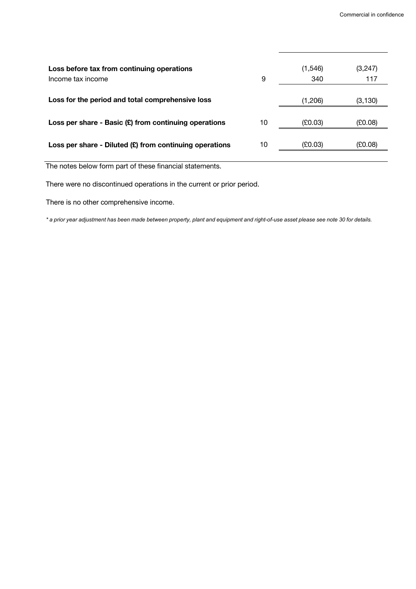| Loss before tax from continuing operations<br>Income tax income | 9  | (1,546)<br>340 | (3,247)<br>117 |
|-----------------------------------------------------------------|----|----------------|----------------|
| Loss for the period and total comprehensive loss                |    | (1,206)        | (3, 130)       |
| Loss per share - Basic $(E)$ from continuing operations         | 10 | (£0.03)        | (£0.08)        |
| Loss per share - Diluted $(E)$ from continuing operations       | 10 | (E0.03)        | (£0.08)        |

The notes below form part of these financial statements.

There were no discontinued operations in the current or prior period.

There is no other comprehensive income.

*\* a prior year adjustment has been made between property, plant and equipment and right-of-use asset please see note 30 for details.*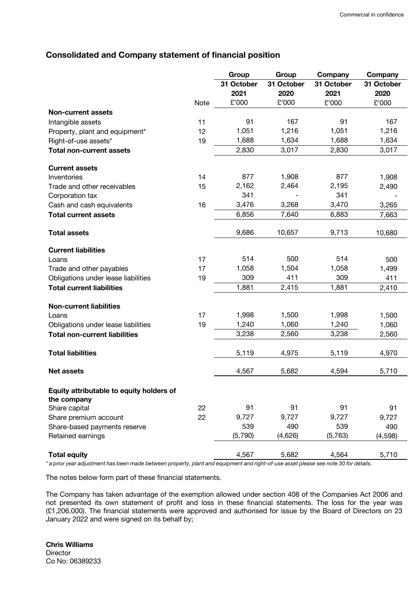# **Consolidated and Company statement of financial position**

|                                                         |      | Group      | Group      | Company    | Company    |
|---------------------------------------------------------|------|------------|------------|------------|------------|
|                                                         |      | 31 October | 31 October | 31 October | 31 October |
|                                                         |      | 2021       | 2020       | 2021       | 2020       |
|                                                         | Note | £'000      | £'000      | £'000      | £'000      |
| <b>Non-current assets</b>                               |      |            |            |            |            |
| Intangible assets                                       | 11   | 91         | 167        | 91         | 167        |
| Property, plant and equipment*                          | 12   | 1,051      | 1,216      | 1,051      | 1,216      |
| Right-of-use assets*                                    | 19   | 1,688      | 1,634      | 1,688      | 1,634      |
| <b>Total non-current assets</b>                         |      | 2,830      | 3,017      | 2,830      | 3,017      |
| <b>Current assets</b>                                   |      |            |            |            |            |
| Inventories                                             | 14   | 877        | 1,908      | 877        | 1,908      |
| Trade and other receivables                             | 15   | 2,162      | 2,464      | 2,195      | 2,490      |
| Corporation tax                                         |      | 341        |            | 341        |            |
| Cash and cash equivalents                               | 16   | 3,476      | 3,268      | 3,470      | 3,265      |
| <b>Total current assets</b>                             |      | 6,856      | 7,640      | 6,883      | 7,663      |
| <b>Total assets</b>                                     |      | 9,686      | 10,657     | 9,713      | 10,680     |
| <b>Current liabilities</b>                              |      |            |            |            |            |
| Loans                                                   | 17   | 514        | 500        | 514        | 500        |
| Trade and other payables                                | 17   | 1,058      | 1,504      | 1,058      | 1,499      |
| Obligations under lease liabilities                     | 19   | 309        | 411        | 309        | 411        |
| <b>Total current liabilities</b>                        |      | 1,881      | 2,415      | 1,881      | 2,410      |
| <b>Non-current liabilities</b>                          |      |            |            |            |            |
| Loans                                                   | 17   | 1,998      | 1,500      | 1,998      | 1,500      |
| Obligations under lease liabilities                     | 19   | 1,240      | 1,060      | 1,240      | 1,060      |
| <b>Total non-current liabilities</b>                    |      | 3,238      | 2,560      | 3,238      | 2,560      |
| <b>Total liabilities</b>                                |      | 5,119      | 4,975      | 5,119      | 4,970      |
| <b>Net assets</b>                                       |      | 4,567      | 5,682      | 4,594      | 5,710      |
| Equity attributable to equity holders of<br>the company |      |            |            |            |            |
| Share capital                                           | 22   | 91         | 91         | 91         | 91         |
| Share premium account                                   | 22   | 9,727      | 9,727      | 9,727      | 9,727      |
| Share-based payments reserve                            |      | 539        | 490        | 539        | 490        |
| Retained earnings                                       |      | (5,790)    | (4,626)    | (5,763)    | (4, 598)   |
| <b>Total equity</b>                                     |      | 4,567      | 5,682      | 4,564      | 5,710      |

*\* a prior year adjustment has been made between property, plant and equipment and right-of-use asset please see note 30 for details.*

The notes below form part of these financial statements.

The Company has taken advantage of the exemption allowed under section 408 of the Companies Act 2006 and not presented its own statement of profit and loss in these financial statements. The loss for the year was (£1,206,000). The financial statements were approved and authorised for issue by the Board of Directors on 23 January 2022 and were signed on its behalf by;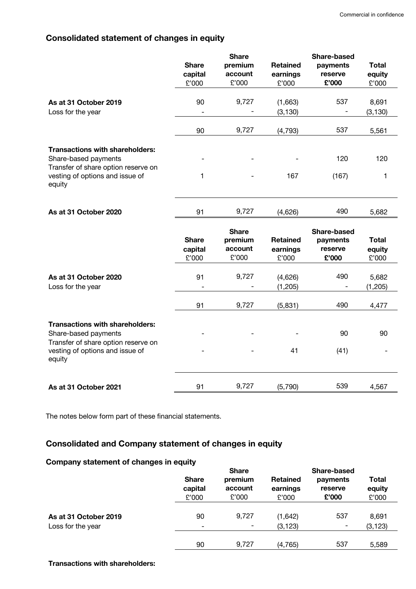# **Consolidated statement of changes in equity**

|                                                                                                                                                    | <b>Share</b><br>capital<br>£'000 | <b>Share</b><br>premium<br>account<br>£'000 | <b>Retained</b><br>earnings<br>£'000 | <b>Share-based</b><br>payments<br>reserve<br>£'000 | <b>Total</b><br>equity<br>£'000 |
|----------------------------------------------------------------------------------------------------------------------------------------------------|----------------------------------|---------------------------------------------|--------------------------------------|----------------------------------------------------|---------------------------------|
| As at 31 October 2019<br>Loss for the year                                                                                                         | 90                               | 9,727                                       | (1,663)<br>(3, 130)                  | 537                                                | 8,691<br>(3, 130)               |
|                                                                                                                                                    | 90                               | 9,727                                       | (4, 793)                             | 537                                                | 5,561                           |
| <b>Transactions with shareholders:</b><br>Share-based payments<br>Transfer of share option reserve on<br>vesting of options and issue of           | 1                                |                                             | 167                                  | 120<br>(167)                                       | 120<br>1                        |
| equity                                                                                                                                             |                                  |                                             |                                      |                                                    |                                 |
| As at 31 October 2020                                                                                                                              | 91                               | 9,727                                       | (4,626)                              | 490                                                | 5,682                           |
|                                                                                                                                                    |                                  |                                             |                                      |                                                    |                                 |
|                                                                                                                                                    | <b>Share</b><br>capital<br>£'000 | <b>Share</b><br>premium<br>account<br>£'000 | <b>Retained</b><br>earnings<br>£'000 | <b>Share-based</b><br>payments<br>reserve<br>£'000 | <b>Total</b><br>equity<br>£'000 |
| As at 31 October 2020<br>Loss for the year                                                                                                         | 91<br>$\overline{a}$             | 9,727<br>-                                  | (4,626)<br>(1, 205)                  | 490<br>-                                           | 5,682<br>(1, 205)               |
|                                                                                                                                                    | 91                               | 9,727                                       | (5, 831)                             | 490                                                | 4,477                           |
| <b>Transactions with shareholders:</b><br>Share-based payments<br>Transfer of share option reserve on<br>vesting of options and issue of<br>equity |                                  |                                             | 41                                   | 90<br>(41)                                         | 90                              |

The notes below form part of these financial statements.

# **Consolidated and Company statement of changes in equity**

# **Company statement of changes in equity**

| <u>sanipang alalamant at ananggo in agaly</u> | <b>Share</b><br>capital<br>£'000 | <b>Share</b><br>premium<br>account<br>£'000 | <b>Retained</b><br>earnings<br>£'000 | Share-based<br>payments<br>reserve<br>£'000 | <b>Total</b><br>equity<br>£'000 |
|-----------------------------------------------|----------------------------------|---------------------------------------------|--------------------------------------|---------------------------------------------|---------------------------------|
| As at 31 October 2019<br>Loss for the year    | 90<br>Ξ.                         | 9,727                                       | (1,642)<br>(3, 123)                  | 537<br>-                                    | 8,691<br>(3, 123)               |
|                                               | 90                               | 9,727                                       | (4, 765)                             | 537                                         | 5,589                           |

**Transactions with shareholders:**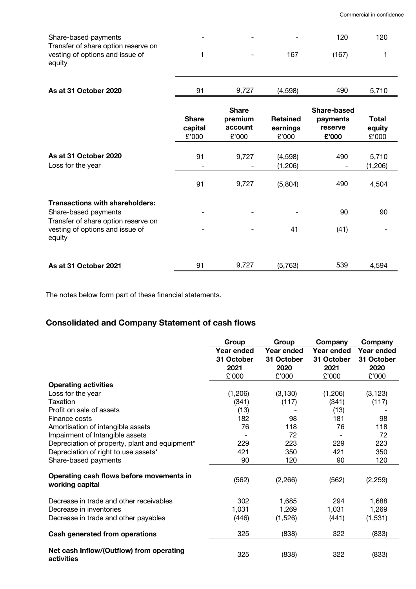| Share-based payments<br>Transfer of share option reserve on<br>vesting of options and issue of<br>equity                                           | 1                                |                                             | 167                                  | 120<br>(167)                                       | 120<br>1                        |
|----------------------------------------------------------------------------------------------------------------------------------------------------|----------------------------------|---------------------------------------------|--------------------------------------|----------------------------------------------------|---------------------------------|
| As at 31 October 2020                                                                                                                              | 91                               | 9,727                                       | (4,598)                              | 490                                                | 5,710                           |
|                                                                                                                                                    | <b>Share</b><br>capital<br>£'000 | <b>Share</b><br>premium<br>account<br>£'000 | <b>Retained</b><br>earnings<br>£'000 | <b>Share-based</b><br>payments<br>reserve<br>£'000 | <b>Total</b><br>equity<br>£'000 |
| As at 31 October 2020<br>Loss for the year                                                                                                         | 91                               | 9,727                                       | (4,598)<br>(1,206)                   | 490                                                | 5,710<br>(1, 206)               |
|                                                                                                                                                    | 91                               | 9,727                                       | (5,804)                              | 490                                                | 4,504                           |
| <b>Transactions with shareholders:</b><br>Share-based payments<br>Transfer of share option reserve on<br>vesting of options and issue of<br>equity |                                  |                                             | 41                                   | 90<br>(41)                                         | 90                              |
| As at 31 October 2021                                                                                                                              | 91                               | 9,727                                       | (5,763)                              | 539                                                | 4,594                           |

The notes below form part of these financial statements.

# **Consolidated and Company Statement of cash flows**

|                                                             | Group      | Group      | Company    | Company    |
|-------------------------------------------------------------|------------|------------|------------|------------|
|                                                             | Year ended | Year ended | Year ended | Year ended |
|                                                             | 31 October | 31 October | 31 October | 31 October |
|                                                             | 2021       | 2020       | 2021       | 2020       |
|                                                             | £'000      | £'000      | £'000      | £'000      |
| <b>Operating activities</b>                                 |            |            |            |            |
| Loss for the year                                           | (1,206)    | (3, 130)   | (1,206)    | (3, 123)   |
| Taxation                                                    | (341)      | (117)      | (341)      | (117)      |
| Profit on sale of assets                                    | (13)       |            | (13)       |            |
| Finance costs                                               | 182        | 98         | 181        | 98         |
| Amortisation of intangible assets                           | 76         | 118        | 76         | 118        |
| Impairment of Intangible assets                             |            | 72         |            | 72         |
| Depreciation of property, plant and equipment*              | 229        | 223        | 229        | 223        |
| Depreciation of right to use assets*                        | 421        | 350        | 421        | 350        |
| Share-based payments                                        | 90         | 120        | 90         | 120        |
| Operating cash flows before movements in<br>working capital | (562)      | (2, 266)   | (562)      | (2, 259)   |
| Decrease in trade and other receivables                     | 302        | 1,685      | 294        | 1,688      |
| Decrease in inventories                                     | 1,031      | 1,269      | 1,031      | 1,269      |
| Decrease in trade and other payables                        | (446)      | (1,526)    | (441)      | (1,531)    |
| <b>Cash generated from operations</b>                       | 325        | (838)      | 322        | (833)      |
| Net cash Inflow/(Outflow) from operating<br>activities      | 325        | (838)      | 322        | (833)      |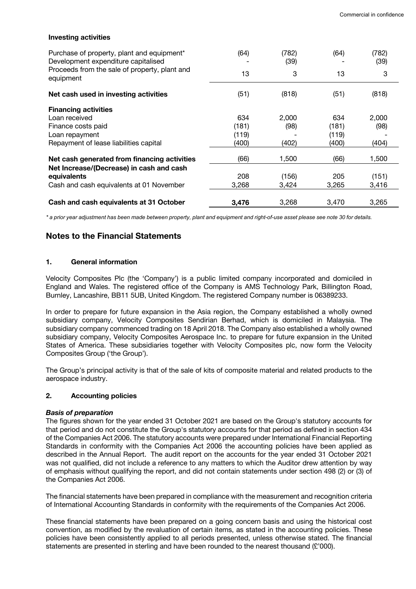| <b>Investing activities</b>                                                       |       |               |       |               |  |
|-----------------------------------------------------------------------------------|-------|---------------|-------|---------------|--|
| Purchase of property, plant and equipment*<br>Development expenditure capitalised | (64)  | (782)<br>(39) | (64)  | (782)<br>(39) |  |
| Proceeds from the sale of property, plant and<br>equipment                        | 13    | 3             | 13    | 3             |  |
| Net cash used in investing activities                                             | (51)  | (818)         | (51)  | (818)         |  |
| <b>Financing activities</b>                                                       |       |               |       |               |  |
| Loan received                                                                     | 634   | 2,000         | 634   | 2,000         |  |
| Finance costs paid                                                                | (181) | (98)          | (181) | (98)          |  |
| Loan repayment                                                                    | (119) |               | (119) |               |  |
| Repayment of lease liabilities capital                                            | (400) | (402)         | (400) | (404)         |  |
| Net cash generated from financing activities                                      | (66)  | 1,500         | (66)  | 1,500         |  |
| Net Increase/(Decrease) in cash and cash                                          |       |               |       |               |  |
| equivalents                                                                       | 208   | (156)         | 205   | (151)         |  |
| Cash and cash equivalents at 01 November                                          | 3,268 | 3,424         | 3,265 | 3,416         |  |
| Cash and cash equivalents at 31 October                                           | 3,476 | 3,268         | 3,470 | 3,265         |  |

*\* a prior year adjustment has been made between property, plant and equipment and right-of-use asset please see note 30 for details.*

# **Notes to the Financial Statements**

# **1. General information**

Velocity Composites Plc (the 'Company') is a public limited company incorporated and domiciled in England and Wales. The registered office of the Company is AMS Technology Park, Billington Road, Burnley, Lancashire, BB11 5UB, United Kingdom. The registered Company number is 06389233.

In order to prepare for future expansion in the Asia region, the Company established a wholly owned subsidiary company, Velocity Composites Sendirian Berhad, which is domiciled in Malaysia. The subsidiary company commenced trading on 18 April 2018. The Company also established a wholly owned subsidiary company, Velocity Composites Aerospace Inc. to prepare for future expansion in the United States of America. These subsidiaries together with Velocity Composites plc, now form the Velocity Composites Group ('the Group').

The Group's principal activity is that of the sale of kits of composite material and related products to the aerospace industry.

# **2. Accounting policies**

#### *Basis of preparation*

The figures shown for the year ended 31 October 2021 are based on the Group's statutory accounts for that period and do not constitute the Group's statutory accounts for that period as defined in section 434 of the Companies Act 2006. The statutory accounts were prepared under International Financial Reporting Standards in conformity with the Companies Act 2006 the accounting policies have been applied as described in the Annual Report. The audit report on the accounts for the year ended 31 October 2021 was not qualified, did not include a reference to any matters to which the Auditor drew attention by way of emphasis without qualifying the report, and did not contain statements under section 498 (2) or (3) of the Companies Act 2006.

The financial statements have been prepared in compliance with the measurement and recognition criteria of International Accounting Standards in conformity with the requirements of the Companies Act 2006.

These financial statements have been prepared on a going concern basis and using the historical cost convention, as modified by the revaluation of certain items, as stated in the accounting policies. These policies have been consistently applied to all periods presented, unless otherwise stated. The financial statements are presented in sterling and have been rounded to the nearest thousand (£'000).

# **Investing activities**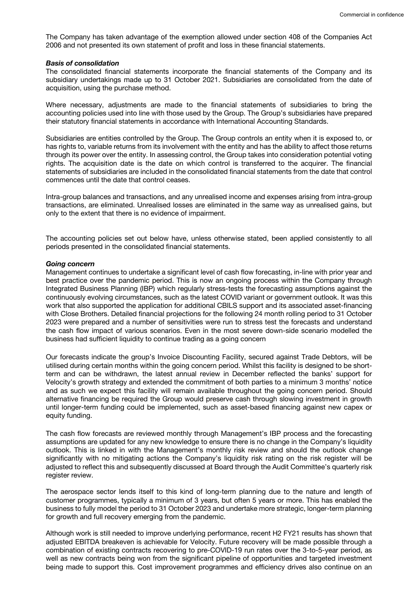The Company has taken advantage of the exemption allowed under section 408 of the Companies Act 2006 and not presented its own statement of profit and loss in these financial statements.

#### *Basis of consolidation*

The consolidated financial statements incorporate the financial statements of the Company and its subsidiary undertakings made up to 31 October 2021. Subsidiaries are consolidated from the date of acquisition, using the purchase method.

Where necessary, adjustments are made to the financial statements of subsidiaries to bring the accounting policies used into line with those used by the Group. The Group's subsidiaries have prepared their statutory financial statements in accordance with International Accounting Standards.

Subsidiaries are entities controlled by the Group. The Group controls an entity when it is exposed to, or has rights to, variable returns from its involvement with the entity and has the ability to affect those returns through its power over the entity. In assessing control, the Group takes into consideration potential voting rights. The acquisition date is the date on which control is transferred to the acquirer. The financial statements of subsidiaries are included in the consolidated financial statements from the date that control commences until the date that control ceases.

Intra-group balances and transactions, and any unrealised income and expenses arising from intra-group transactions, are eliminated. Unrealised losses are eliminated in the same way as unrealised gains, but only to the extent that there is no evidence of impairment.

The accounting policies set out below have, unless otherwise stated, been applied consistently to all periods presented in the consolidated financial statements.

#### *Going concern*

Management continues to undertake a significant level of cash flow forecasting, in-line with prior year and best practice over the pandemic period. This is now an ongoing process within the Company through Integrated Business Planning (IBP) which regularly stress-tests the forecasting assumptions against the continuously evolving circumstances, such as the latest COVID variant or government outlook. It was this work that also supported the application for additional CBILS support and its associated asset-financing with Close Brothers. Detailed financial projections for the following 24 month rolling period to 31 October 2023 were prepared and a number of sensitivities were run to stress test the forecasts and understand the cash flow impact of various scenarios. Even in the most severe down-side scenario modelled the business had sufficient liquidity to continue trading as a going concern

Our forecasts indicate the group's Invoice Discounting Facility, secured against Trade Debtors, will be utilised during certain months within the going concern period. Whilst this facility is designed to be shortterm and can be withdrawn, the latest annual review in December reflected the banks' support for Velocity's growth strategy and extended the commitment of both parties to a minimum 3 months' notice and as such we expect this facility will remain available throughout the going concern period. Should alternative financing be required the Group would preserve cash through slowing investment in growth until longer-term funding could be implemented, such as asset-based financing against new capex or equity funding.

The cash flow forecasts are reviewed monthly through Management's IBP process and the forecasting assumptions are updated for any new knowledge to ensure there is no change in the Company's liquidity outlook. This is linked in with the Management's monthly risk review and should the outlook change significantly with no mitigating actions the Company's liquidity risk rating on the risk register will be adjusted to reflect this and subsequently discussed at Board through the Audit Committee's quarterly risk register review.

The aerospace sector lends itself to this kind of long-term planning due to the nature and length of customer programmes, typically a minimum of 3 years, but often 5 years or more. This has enabled the business to fully model the period to 31 October 2023 and undertake more strategic, longer-term planning for growth and full recovery emerging from the pandemic.

Although work is still needed to improve underlying performance, recent H2 FY21 results has shown that adjusted EBITDA breakeven is achievable for Velocity. Future recovery will be made possible through a combination of existing contracts recovering to pre-COVID-19 run rates over the 3-to-5-year period, as well as new contracts being won from the significant pipeline of opportunities and targeted investment being made to support this. Cost improvement programmes and efficiency drives also continue on an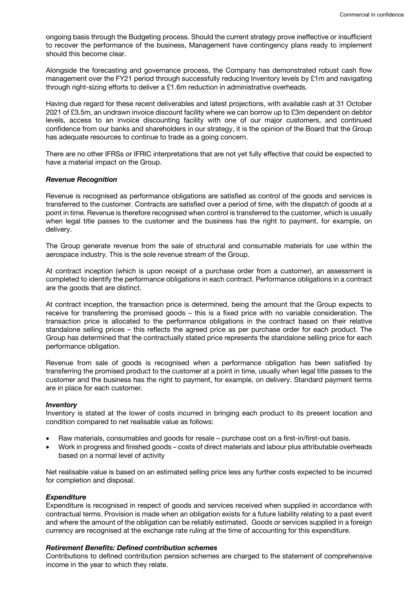ongoing basis through the Budgeting process. Should the current strategy prove ineffective or insufficient to recover the performance of the business, Management have contingency plans ready to implement should this become clear.

Alongside the forecasting and governance process, the Company has demonstrated robust cash flow management over the FY21 period through successfully reducing Inventory levels by £1m and navigating through right-sizing efforts to deliver a £1.6m reduction in administrative overheads.

Having due regard for these recent deliverables and latest projections, with available cash at 31 October 2021 of £3.5m, an undrawn invoice discount facility where we can borrow up to £3m dependent on debtor levels, access to an invoice discounting facility with one of our major customers, and continued confidence from our banks and shareholders in our strategy, it is the opinion of the Board that the Group has adequate resources to continue to trade as a going concern.

There are no other IFRSs or IFRIC interpretations that are not yet fully effective that could be expected to have a material impact on the Group.

#### *Revenue Recognition*

Revenue is recognised as performance obligations are satisfied as control of the goods and services is transferred to the customer. Contracts are satisfied over a period of time, with the dispatch of goods at a point in time. Revenue is therefore recognised when control is transferred to the customer, which is usually when legal title passes to the customer and the business has the right to payment, for example, on delivery.

The Group generate revenue from the sale of structural and consumable materials for use within the aerospace industry. This is the sole revenue stream of the Group.

At contract inception (which is upon receipt of a purchase order from a customer), an assessment is completed to identify the performance obligations in each contract. Performance obligations in a contract are the goods that are distinct.

At contract inception, the transaction price is determined, being the amount that the Group expects to receive for transferring the promised goods – this is a fixed price with no variable consideration. The transaction price is allocated to the performance obligations in the contract based on their relative standalone selling prices – this reflects the agreed price as per purchase order for each product. The Group has determined that the contractually stated price represents the standalone selling price for each performance obligation.

Revenue from sale of goods is recognised when a performance obligation has been satisfied by transferring the promised product to the customer at a point in time, usually when legal title passes to the customer and the business has the right to payment, for example, on delivery. Standard payment terms are in place for each customer*.*

#### *Inventory*

Inventory is stated at the lower of costs incurred in bringing each product to its present location and condition compared to net realisable value as follows:

- Raw materials, consumables and goods for resale purchase cost on a first-in/first-out basis.
- Work in progress and finished goods costs of direct materials and labour plus attributable overheads based on a normal level of activity

Net realisable value is based on an estimated selling price less any further costs expected to be incurred for completion and disposal.

#### *Expenditure*

Expenditure is recognised in respect of goods and services received when supplied in accordance with contractual terms. Provision is made when an obligation exists for a future liability relating to a past event and where the amount of the obligation can be reliably estimated. Goods or services supplied in a foreign currency are recognised at the exchange rate ruling at the time of accounting for this expenditure.

#### *Retirement Benefits: Defined contribution schemes*

Contributions to defined contribution pension schemes are charged to the statement of comprehensive income in the year to which they relate.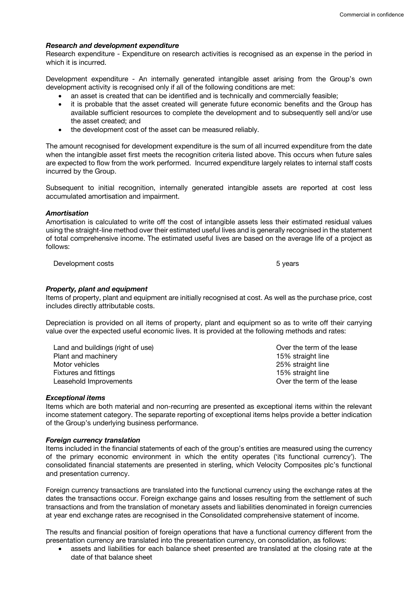#### *Research and development expenditure*

Research expenditure - Expenditure on research activities is recognised as an expense in the period in which it is incurred.

Development expenditure - An internally generated intangible asset arising from the Group's own development activity is recognised only if all of the following conditions are met:

- an asset is created that can be identified and is technically and commercially feasible;
- it is probable that the asset created will generate future economic benefits and the Group has available sufficient resources to complete the development and to subsequently sell and/or use the asset created; and
- the development cost of the asset can be measured reliably.

The amount recognised for development expenditure is the sum of all incurred expenditure from the date when the intangible asset first meets the recognition criteria listed above. This occurs when future sales are expected to flow from the work performed. Incurred expenditure largely relates to internal staff costs incurred by the Group.

Subsequent to initial recognition, internally generated intangible assets are reported at cost less accumulated amortisation and impairment.

#### *Amortisation*

Amortisation is calculated to write off the cost of intangible assets less their estimated residual values using the straight-line method over their estimated useful lives and is generally recognised in the statement of total comprehensive income. The estimated useful lives are based on the average life of a project as follows:

Development costs **5** years 5 years **5** years **5** years **5** years **5** years **5** years **5** 

#### *Property, plant and equipment*

Items of property, plant and equipment are initially recognised at cost. As well as the purchase price, cost includes directly attributable costs.

Depreciation is provided on all items of property, plant and equipment so as to write off their carrying value over the expected useful economic lives. It is provided at the following methods and rates:

Land and buildings (right of use) Plant and machinery<br>Motor vehicles Fixtures and fittings 15% straight line Leasehold Improvements **Leasehold Improvements Constanting Constanting Constanting Constanting Constanting Constanting Constanting Constanting Constanting Constanting Constanting Constanting Constanting Constanting Const** 

Over the term of the lease 15% straight line 25% straight line

#### *Exceptional items*

Items which are both material and non-recurring are presented as exceptional items within the relevant income statement category. The separate reporting of exceptional items helps provide a better indication of the Group's underlying business performance.

#### *Foreign currency translation*

Items included in the financial statements of each of the group's entities are measured using the currency of the primary economic environment in which the entity operates ('its functional currency'). The consolidated financial statements are presented in sterling, which Velocity Composites plc's functional and presentation currency.

Foreign currency transactions are translated into the functional currency using the exchange rates at the dates the transactions occur. Foreign exchange gains and losses resulting from the settlement of such transactions and from the translation of monetary assets and liabilities denominated in foreign currencies at year end exchange rates are recognised in the Consolidated comprehensive statement of income.

The results and financial position of foreign operations that have a functional currency different from the presentation currency are translated into the presentation currency, on consolidation, as follows:

• assets and liabilities for each balance sheet presented are translated at the closing rate at the date of that balance sheet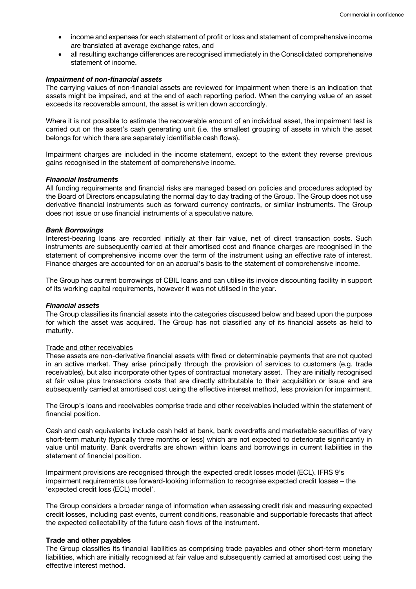- income and expenses for each statement of profit or loss and statement of comprehensive income are translated at average exchange rates, and
- all resulting exchange differences are recognised immediately in the Consolidated comprehensive statement of income.

#### *Impairment of non-financial assets*

The carrying values of non-financial assets are reviewed for impairment when there is an indication that assets might be impaired, and at the end of each reporting period. When the carrying value of an asset exceeds its recoverable amount, the asset is written down accordingly.

Where it is not possible to estimate the recoverable amount of an individual asset, the impairment test is carried out on the asset's cash generating unit (i.e. the smallest grouping of assets in which the asset belongs for which there are separately identifiable cash flows).

Impairment charges are included in the income statement, except to the extent they reverse previous gains recognised in the statement of comprehensive income.

#### *Financial Instruments*

All funding requirements and financial risks are managed based on policies and procedures adopted by the Board of Directors encapsulating the normal day to day trading of the Group. The Group does not use derivative financial instruments such as forward currency contracts, or similar instruments. The Group does not issue or use financial instruments of a speculative nature.

#### *Bank Borrowings*

Interest-bearing loans are recorded initially at their fair value, net of direct transaction costs. Such instruments are subsequently carried at their amortised cost and finance charges are recognised in the statement of comprehensive income over the term of the instrument using an effective rate of interest. Finance charges are accounted for on an accrual's basis to the statement of comprehensive income.

The Group has current borrowings of CBIL loans and can utilise its invoice discounting facility in support of its working capital requirements, however it was not utilised in the year.

# *Financial assets*

The Group classifies its financial assets into the categories discussed below and based upon the purpose for which the asset was acquired. The Group has not classified any of its financial assets as held to maturity.

#### Trade and other receivables

These assets are non-derivative financial assets with fixed or determinable payments that are not quoted in an active market. They arise principally through the provision of services to customers (e.g. trade receivables), but also incorporate other types of contractual monetary asset. They are initially recognised at fair value plus transactions costs that are directly attributable to their acquisition or issue and are subsequently carried at amortised cost using the effective interest method, less provision for impairment.

The Group's loans and receivables comprise trade and other receivables included within the statement of financial position.

Cash and cash equivalents include cash held at bank, bank overdrafts and marketable securities of very short-term maturity (typically three months or less) which are not expected to deteriorate significantly in value until maturity. Bank overdrafts are shown within loans and borrowings in current liabilities in the statement of financial position.

Impairment provisions are recognised through the expected credit losses model (ECL). IFRS 9's impairment requirements use forward-looking information to recognise expected credit losses – the 'expected credit loss (ECL) model'.

The Group considers a broader range of information when assessing credit risk and measuring expected credit losses, including past events, current conditions, reasonable and supportable forecasts that affect the expected collectability of the future cash flows of the instrument.

#### **Trade and other payables**

The Group classifies its financial liabilities as comprising trade payables and other short-term monetary liabilities, which are initially recognised at fair value and subsequently carried at amortised cost using the effective interest method.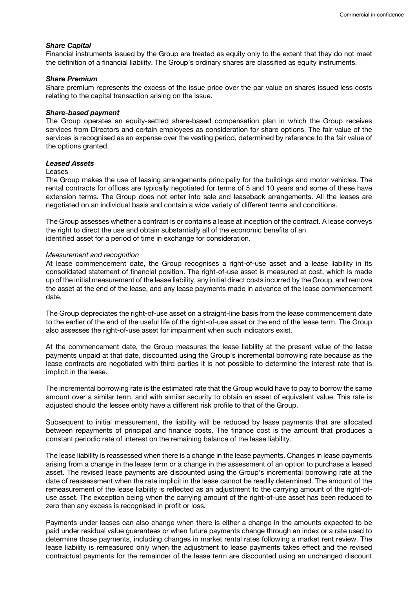#### *Share Capital*

Financial instruments issued by the Group are treated as equity only to the extent that they do not meet the definition of a financial liability. The Group's ordinary shares are classified as equity instruments.

#### *Share Premium*

Share premium represents the excess of the issue price over the par value on shares issued less costs relating to the capital transaction arising on the issue.

#### *Share-based payment*

The Group operates an equity-settled share-based compensation plan in which the Group receives services from Directors and certain employees as consideration for share options. The fair value of the services is recognised as an expense over the vesting period, determined by reference to the fair value of the options granted.

#### *Leased Assets*

#### **Leases**

The Group makes the use of leasing arrangements principally for the buildings and motor vehicles. The rental contracts for offices are typically negotiated for terms of 5 and 10 years and some of these have extension terms. The Group does not enter into sale and leaseback arrangements. All the leases are negotiated on an individual basis and contain a wide variety of different terms and conditions.

The Group assesses whether a contract is or contains a lease at inception of the contract. A lease conveys the right to direct the use and obtain substantially all of the economic benefits of an identified asset for a period of time in exchange for consideration.

#### *Measurement and recognition*

At lease commencement date, the Group recognises a right-of-use asset and a lease liability in its consolidated statement of financial position. The right-of-use asset is measured at cost, which is made up of the initial measurement of the lease liability, any initial direct costs incurred by the Group, and remove the asset at the end of the lease, and any lease payments made in advance of the lease commencement date.

The Group depreciates the right-of-use asset on a straight-line basis from the lease commencement date to the earlier of the end of the useful life of the right-of-use asset or the end of the lease term. The Group also assesses the right-of-use asset for impairment when such indicators exist.

At the commencement date, the Group measures the lease liability at the present value of the lease payments unpaid at that date, discounted using the Group's incremental borrowing rate because as the lease contracts are negotiated with third parties it is not possible to determine the interest rate that is implicit in the lease.

The incremental borrowing rate is the estimated rate that the Group would have to pay to borrow the same amount over a similar term, and with similar security to obtain an asset of equivalent value. This rate is adjusted should the lessee entity have a different risk profile to that of the Group.

Subsequent to initial measurement, the liability will be reduced by lease payments that are allocated between repayments of principal and finance costs. The finance cost is the amount that produces a constant periodic rate of interest on the remaining balance of the lease liability.

The lease liability is reassessed when there is a change in the lease payments. Changes in lease payments arising from a change in the lease term or a change in the assessment of an option to purchase a leased asset. The revised lease payments are discounted using the Group's incremental borrowing rate at the date of reassessment when the rate implicit in the lease cannot be readily determined. The amount of the remeasurement of the lease liability is reflected as an adjustment to the carrying amount of the right-ofuse asset. The exception being when the carrying amount of the right-of-use asset has been reduced to zero then any excess is recognised in profit or loss.

Payments under leases can also change when there is either a change in the amounts expected to be paid under residual value guarantees or when future payments change through an index or a rate used to determine those payments, including changes in market rental rates following a market rent review. The lease liability is remeasured only when the adjustment to lease payments takes effect and the revised contractual payments for the remainder of the lease term are discounted using an unchanged discount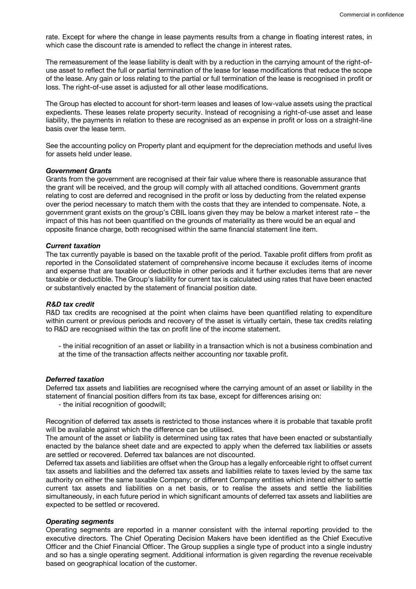rate. Except for where the change in lease payments results from a change in floating interest rates, in which case the discount rate is amended to reflect the change in interest rates.

The remeasurement of the lease liability is dealt with by a reduction in the carrying amount of the right-ofuse asset to reflect the full or partial termination of the lease for lease modifications that reduce the scope of the lease. Any gain or loss relating to the partial or full termination of the lease is recognised in profit or loss. The right-of-use asset is adjusted for all other lease modifications.

The Group has elected to account for short-term leases and leases of low-value assets using the practical expedients. These leases relate property security. Instead of recognising a right-of-use asset and lease liability, the payments in relation to these are recognised as an expense in profit or loss on a straight-line basis over the lease term.

See the accounting policy on Property plant and equipment for the depreciation methods and useful lives for assets held under lease.

#### *Government Grants*

Grants from the government are recognised at their fair value where there is reasonable assurance that the grant will be received, and the group will comply with all attached conditions. Government grants relating to cost are deferred and recognised in the profit or loss by deducting from the related expense over the period necessary to match them with the costs that they are intended to compensate. Note, a government grant exists on the group's CBIL loans given they may be below a market interest rate – the impact of this has not been quantified on the grounds of materiality as there would be an equal and opposite finance charge, both recognised within the same financial statement line item.

#### *Current taxation*

The tax currently payable is based on the taxable profit of the period. Taxable profit differs from profit as reported in the Consolidated statement of comprehensive income because it excludes items of income and expense that are taxable or deductible in other periods and it further excludes items that are never taxable or deductible. The Group's liability for current tax is calculated using rates that have been enacted or substantively enacted by the statement of financial position date.

#### *R&D tax credit*

R&D tax credits are recognised at the point when claims have been quantified relating to expenditure within current or previous periods and recovery of the asset is virtually certain, these tax credits relating to R&D are recognised within the tax on profit line of the income statement.

- the initial recognition of an asset or liability in a transaction which is not a business combination and at the time of the transaction affects neither accounting nor taxable profit.

# *Deferred taxation*

Deferred tax assets and liabilities are recognised where the carrying amount of an asset or liability in the statement of financial position differs from its tax base, except for differences arising on:

- the initial recognition of goodwill;

Recognition of deferred tax assets is restricted to those instances where it is probable that taxable profit will be available against which the difference can be utilised.

The amount of the asset or liability is determined using tax rates that have been enacted or substantially enacted by the balance sheet date and are expected to apply when the deferred tax liabilities or assets are settled or recovered. Deferred tax balances are not discounted.

Deferred tax assets and liabilities are offset when the Group has a legally enforceable right to offset current tax assets and liabilities and the deferred tax assets and liabilities relate to taxes levied by the same tax authority on either the same taxable Company; or different Company entities which intend either to settle current tax assets and liabilities on a net basis, or to realise the assets and settle the liabilities simultaneously, in each future period in which significant amounts of deferred tax assets and liabilities are expected to be settled or recovered.

#### *Operating segments*

Operating segments are reported in a manner consistent with the internal reporting provided to the executive directors. The Chief Operating Decision Makers have been identified as the Chief Executive Officer and the Chief Financial Officer. The Group supplies a single type of product into a single industry and so has a single operating segment. Additional information is given regarding the revenue receivable based on geographical location of the customer.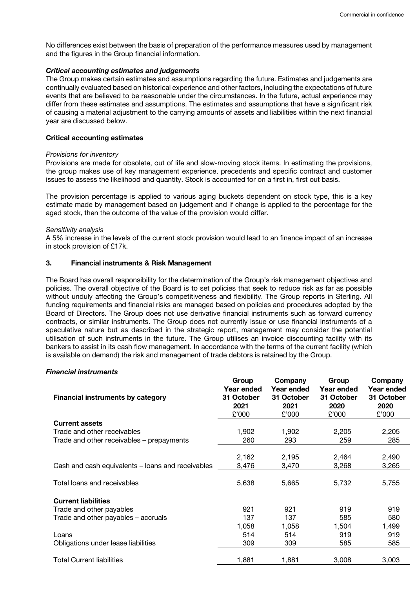No differences exist between the basis of preparation of the performance measures used by management and the figures in the Group financial information.

## *Critical accounting estimates and judgements*

The Group makes certain estimates and assumptions regarding the future. Estimates and judgements are continually evaluated based on historical experience and other factors, including the expectations of future events that are believed to be reasonable under the circumstances. In the future, actual experience may differ from these estimates and assumptions. The estimates and assumptions that have a significant risk of causing a material adjustment to the carrying amounts of assets and liabilities within the next financial year are discussed below.

#### **Critical accounting estimates**

#### *Provisions for inventory*

Provisions are made for obsolete, out of life and slow-moving stock items. In estimating the provisions, the group makes use of key management experience, precedents and specific contract and customer issues to assess the likelihood and quantity. Stock is accounted for on a first in, first out basis.

The provision percentage is applied to various aging buckets dependent on stock type, this is a key estimate made by management based on judgement and if change is applied to the percentage for the aged stock, then the outcome of the value of the provision would differ.

#### *Sensitivity analysis*

A 5% increase in the levels of the current stock provision would lead to an finance impact of an increase in stock provision of £17k.

# **3. Financial instruments & Risk Management**

The Board has overall responsibility for the determination of the Group's risk management objectives and policies. The overall objective of the Board is to set policies that seek to reduce risk as far as possible without unduly affecting the Group's competitiveness and flexibility. The Group reports in Sterling. All funding requirements and financial risks are managed based on policies and procedures adopted by the Board of Directors. The Group does not use derivative financial instruments such as forward currency contracts, or similar instruments. The Group does not currently issue or use financial instruments of a speculative nature but as described in the strategic report, management may consider the potential utilisation of such instruments in the future. The Group utilises an invoice discounting facility with its bankers to assist in its cash flow management. In accordance with the terms of the current facility (which is available on demand) the risk and management of trade debtors is retained by the Group.

# *Financial instruments*

| <b>Financial instruments by category</b>          | Group<br>Year ended<br>31 October<br>2021 | Company<br>Year ended<br>31 October<br>2021 | Group<br>Year ended<br>31 October<br>2020 | Company<br>Year ended<br>31 October<br>2020 |
|---------------------------------------------------|-------------------------------------------|---------------------------------------------|-------------------------------------------|---------------------------------------------|
|                                                   | £'000                                     | £'000                                       | £'000                                     | £'000                                       |
| <b>Current assets</b>                             |                                           |                                             |                                           |                                             |
| Trade and other receivables                       | 1,902                                     | 1,902                                       | 2,205                                     | 2,205                                       |
| Trade and other receivables - prepayments         | 260                                       | 293                                         | 259                                       | 285                                         |
|                                                   |                                           |                                             |                                           |                                             |
|                                                   | 2,162                                     | 2,195                                       | 2,464                                     | 2,490                                       |
| Cash and cash equivalents - loans and receivables | 3,476                                     | 3,470                                       | 3,268                                     | 3,265                                       |
|                                                   |                                           |                                             |                                           |                                             |
| Total loans and receivables                       | 5,638                                     | 5,665                                       | 5,732                                     | 5,755                                       |
| <b>Current liabilities</b>                        |                                           |                                             |                                           |                                             |
| Trade and other payables                          | 921                                       | 921                                         | 919                                       | 919                                         |
|                                                   |                                           |                                             |                                           |                                             |
| Trade and other payables – accruals               | 137                                       | 137                                         | 585                                       | 580                                         |
|                                                   | 1,058                                     | 1,058                                       | 1,504                                     | 1,499                                       |
| Loans                                             | 514                                       | 514                                         | 919                                       | 919                                         |
| Obligations under lease liabilities               | 309                                       | 309                                         | 585                                       | 585                                         |
| <b>Total Current liabilities</b>                  | 1,881                                     | 1,881                                       | 3,008                                     | 3,003                                       |
|                                                   |                                           |                                             |                                           |                                             |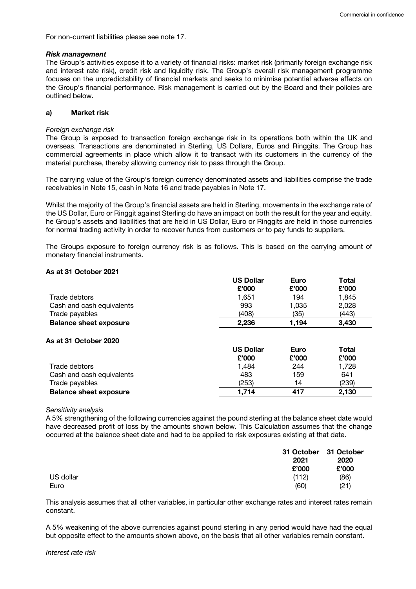For non-current liabilities please see note 17.

#### *Risk management*

The Group's activities expose it to a variety of financial risks: market risk (primarily foreign exchange risk and interest rate risk), credit risk and liquidity risk. The Group's overall risk management programme focuses on the unpredictability of financial markets and seeks to minimise potential adverse effects on the Group's financial performance. Risk management is carried out by the Board and their policies are outlined below.

# **a) Market risk**

#### *Foreign exchange risk*

The Group is exposed to transaction foreign exchange risk in its operations both within the UK and overseas. Transactions are denominated in Sterling, US Dollars, Euros and Ringgits. The Group has commercial agreements in place which allow it to transact with its customers in the currency of the material purchase, thereby allowing currency risk to pass through the Group.

The carrying value of the Group's foreign currency denominated assets and liabilities comprise the trade receivables in Note 15, cash in Note 16 and trade payables in Note 17.

Whilst the majority of the Group's financial assets are held in Sterling, movements in the exchange rate of the US Dollar, Euro or Ringgit against Sterling do have an impact on both the result for the year and equity. he Group's assets and liabilities that are held in US Dollar, Euro or Ringgits are held in those currencies for normal trading activity in order to recover funds from customers or to pay funds to suppliers.

The Groups exposure to foreign currency risk is as follows. This is based on the carrying amount of monetary financial instruments.

#### **As at 31 October 2021**

|                               | <b>US Dollar</b> | Euro  | Total |
|-------------------------------|------------------|-------|-------|
|                               | £'000            | £'000 | £'000 |
| Trade debtors                 | 1.651            | 194   | 1.845 |
| Cash and cash equivalents     | 993              | 1,035 | 2,028 |
| Trade payables                | (408)            | (35)  | (443) |
| <b>Balance sheet exposure</b> | 2.236            | 1,194 | 3,430 |

#### **As at 31 October 2020**

|                               | <b>US Dollar</b> | <b>Euro</b> | Total |
|-------------------------------|------------------|-------------|-------|
|                               | £'000            | £'000       | £'000 |
| Trade debtors                 | 1.484            | 244         | 1,728 |
| Cash and cash equivalents     | 483              | 159         | 641   |
| Trade payables                | (253)            | 14          | (239) |
| <b>Balance sheet exposure</b> | 1.714            | 417         | 2,130 |

#### *Sensitivity analysis*

A 5% strengthening of the following currencies against the pound sterling at the balance sheet date would have decreased profit of loss by the amounts shown below. This Calculation assumes that the change occurred at the balance sheet date and had to be applied to risk exposures existing at that date.

|           | 31 October 31 October<br>2021 | 2020  |
|-----------|-------------------------------|-------|
|           | £'000                         | £'000 |
| US dollar | (112)                         | (86)  |
| Euro      | (60)                          | (21)  |

This analysis assumes that all other variables, in particular other exchange rates and interest rates remain constant.

A 5% weakening of the above currencies against pound sterling in any period would have had the equal but opposite effect to the amounts shown above, on the basis that all other variables remain constant.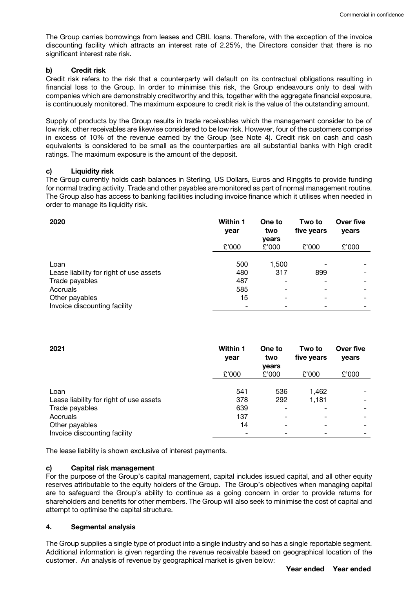The Group carries borrowings from leases and CBIL loans. Therefore, with the exception of the invoice discounting facility which attracts an interest rate of 2.25%, the Directors consider that there is no significant interest rate risk.

## **b) Credit risk**

Credit risk refers to the risk that a counterparty will default on its contractual obligations resulting in financial loss to the Group. In order to minimise this risk, the Group endeavours only to deal with companies which are demonstrably creditworthy and this, together with the aggregate financial exposure, is continuously monitored. The maximum exposure to credit risk is the value of the outstanding amount.

Supply of products by the Group results in trade receivables which the management consider to be of low risk, other receivables are likewise considered to be low risk. However, four of the customers comprise in excess of 10% of the revenue earned by the Group (see Note 4). Credit risk on cash and cash equivalents is considered to be small as the counterparties are all substantial banks with high credit ratings. The maximum exposure is the amount of the deposit.

# **c) Liquidity risk**

The Group currently holds cash balances in Sterling, US Dollars, Euros and Ringgits to provide funding for normal trading activity. Trade and other payables are monitored as part of normal management routine. The Group also has access to banking facilities including invoice finance which it utilises when needed in order to manage its liquidity risk.

| 2020                                    | <b>Within 1</b><br>year | One to<br>two  | Two to<br>five years | Over five<br>years |
|-----------------------------------------|-------------------------|----------------|----------------------|--------------------|
|                                         | £'000                   | vears<br>£'000 | £'000                | £'000              |
|                                         |                         |                |                      |                    |
| Loan                                    | 500                     | 1,500          |                      |                    |
| Lease liability for right of use assets | 480                     | 317            | 899                  |                    |
| Trade payables                          | 487                     |                |                      | ٠                  |
| Accruals                                | 585                     |                |                      |                    |
| Other payables                          | 15                      |                |                      | ۰                  |
| Invoice discounting facility            |                         |                |                      |                    |

| 2021                                    | <b>Within 1</b><br>year | One to<br>two | Two to<br>five years     | Over five<br>vears       |
|-----------------------------------------|-------------------------|---------------|--------------------------|--------------------------|
|                                         |                         | years         |                          |                          |
|                                         | £'000                   | £'000         | £'000                    | £'000                    |
| Loan                                    | 541                     | 536           | 1,462                    |                          |
| Lease liability for right of use assets | 378                     | 292           | 1,181                    | $\overline{\phantom{a}}$ |
| Trade payables                          | 639                     |               |                          |                          |
| Accruals                                | 137                     |               | $\overline{\phantom{0}}$ |                          |
| Other payables                          | 14                      |               |                          | $\overline{\phantom{0}}$ |
| Invoice discounting facility            |                         |               |                          |                          |

The lease liability is shown exclusive of interest payments.

#### **c) Capital risk management**

For the purpose of the Group's capital management, capital includes issued capital, and all other equity reserves attributable to the equity holders of the Group. The Group's objectives when managing capital are to safeguard the Group's ability to continue as a going concern in order to provide returns for shareholders and benefits for other members. The Group will also seek to minimise the cost of capital and attempt to optimise the capital structure.

# **4. Segmental analysis**

The Group supplies a single type of product into a single industry and so has a single reportable segment. Additional information is given regarding the revenue receivable based on geographical location of the customer. An analysis of revenue by geographical market is given below: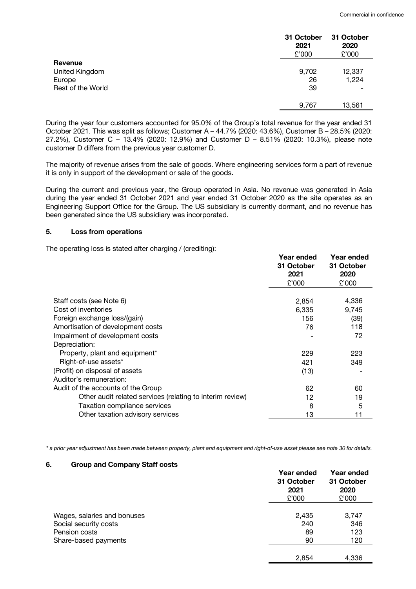|                   | 31 October<br>2021<br>£'000 | 31 October<br>2020<br>£'000 |
|-------------------|-----------------------------|-----------------------------|
| Revenue           |                             |                             |
| United Kingdom    | 9,702                       | 12,337                      |
| Europe            | 26                          | 1,224                       |
| Rest of the World | 39                          |                             |
|                   | 9,767                       | 13,561                      |

During the year four customers accounted for 95.0% of the Group's total revenue for the year ended 31 October 2021. This was split as follows; Customer A – 44.7% (2020: 43.6%), Customer B – 28.5% (2020: 27.2%), Customer C – 13.4% (2020: 12.9%) and Customer D – 8.51% (2020: 10.3%), please note customer D differs from the previous year customer D.

The majority of revenue arises from the sale of goods. Where engineering services form a part of revenue it is only in support of the development or sale of the goods.

During the current and previous year, the Group operated in Asia. No revenue was generated in Asia during the year ended 31 October 2021 and year ended 31 October 2020 as the site operates as an Engineering Support Office for the Group. The US subsidiary is currently dormant, and no revenue has been generated since the US subsidiary was incorporated.

# **5. Loss from operations**

The operating loss is stated after charging / (crediting):

|                                                           | Year ended<br>31 October<br>2021 | Year ended<br>31 October<br>2020 |
|-----------------------------------------------------------|----------------------------------|----------------------------------|
|                                                           | £'000                            | £'000                            |
| Staff costs (see Note 6)<br>Cost of inventories           | 2,854<br>6,335                   | 4,336<br>9,745                   |
| Foreign exchange loss/(gain)                              | 156                              | (39)                             |
| Amortisation of development costs                         | 76                               | 118                              |
| Impairment of development costs                           |                                  | 72                               |
| Depreciation:                                             |                                  |                                  |
| Property, plant and equipment*                            | 229                              | 223                              |
| Right-of-use assets*                                      | 421                              | 349                              |
| (Profit) on disposal of assets                            | (13)                             |                                  |
| Auditor's remuneration:                                   |                                  |                                  |
| Audit of the accounts of the Group                        | 62                               | 60                               |
| Other audit related services (relating to interim review) | 12                               | 19                               |
| Taxation compliance services                              | 8                                | 5                                |
| Other taxation advisory services                          | 13                               | 11                               |

*\* a prior year adjustment has been made between property, plant and equipment and right-of-use asset please see note 30 for details.*

## **6. Group and Company Staff costs**

|                             | Year ended<br>31 October<br>2021<br>£'000 | Year ended<br>31 October<br>2020<br>£'000 |
|-----------------------------|-------------------------------------------|-------------------------------------------|
|                             |                                           |                                           |
| Wages, salaries and bonuses | 2,435                                     | 3,747                                     |
| Social security costs       | 240                                       | 346                                       |
| Pension costs               | 89                                        | 123                                       |
| Share-based payments        | 90                                        | 120                                       |
|                             |                                           |                                           |
|                             | 2,854                                     | 4.336                                     |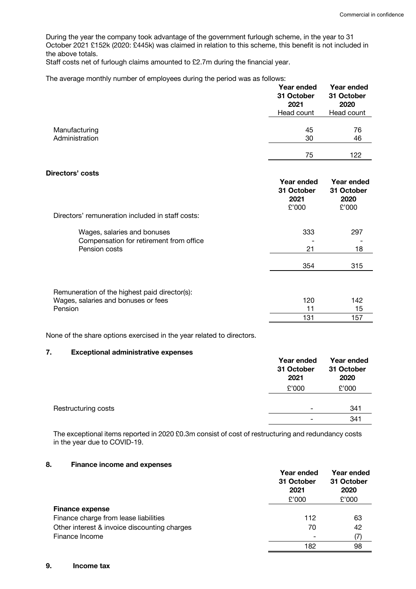During the year the company took advantage of the government furlough scheme, in the year to 31 October 2021 £152k (2020: £445k) was claimed in relation to this scheme, this benefit is not included in the above totals.

Staff costs net of furlough claims amounted to £2.7m during the financial year.

| The average monthly number of employees during the period was as follows: |  |  |  |  |
|---------------------------------------------------------------------------|--|--|--|--|
|---------------------------------------------------------------------------|--|--|--|--|

|                                 | Year ended<br>31 October<br>2021<br>Head count | Year ended<br>31 October<br>2020<br>Head count |
|---------------------------------|------------------------------------------------|------------------------------------------------|
| Manufacturing<br>Administration | 45<br>30                                       | 76<br>46                                       |
|                                 | 75                                             | 122                                            |
| Directors' costs                | Year ended<br>31 October                       | Year ended<br>31 October                       |

| Directors' remuneration included in staff costs: | 31 October<br>2021<br>£'000 | 31 October<br>2020<br>£'000 |
|--------------------------------------------------|-----------------------------|-----------------------------|
| Wages, salaries and bonuses                      | 333                         | 297                         |
| Compensation for retirement from office          |                             |                             |
| Pension costs                                    | 21                          | 18                          |
|                                                  | 354                         | 315                         |
|                                                  |                             |                             |
| Remuneration of the highest paid director(s):    |                             |                             |
| Wages, salaries and bonuses or fees              | 120                         | 142                         |
| Pension                                          | 11                          | 15                          |
|                                                  | 131                         | 157                         |

None of the share options exercised in the year related to directors.

# **7. Exceptional administrative expenses**

|                     | Year ended<br>31 October<br>2021 | <b>Year ended</b><br>31 October<br>2020 |
|---------------------|----------------------------------|-----------------------------------------|
|                     | £'000                            | £'000                                   |
|                     |                                  |                                         |
| Restructuring costs | ۰                                | 341                                     |
|                     | ۰                                | 341                                     |

The exceptional items reported in 2020 £0.3m consist of cost of restructuring and redundancy costs in the year due to COVID-19.

# **8. Finance income and expenses**

|                                              | Year ended<br>31 October<br>2021<br>£'000 | Year ended<br>31 October<br>2020<br>£'000 |
|----------------------------------------------|-------------------------------------------|-------------------------------------------|
| <b>Finance expense</b>                       |                                           |                                           |
| Finance charge from lease liabilities        | 112                                       | 63                                        |
| Other interest & invoice discounting charges | 70                                        | 42                                        |
| Finance Income                               |                                           | (7)                                       |
|                                              | 182                                       | 98                                        |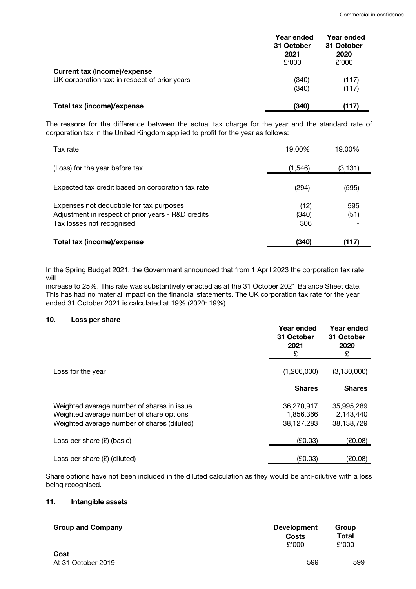|                                                                                      | Year ended<br>31 October<br>2021<br>£'000 | Year ended<br>31 October<br>2020<br>£'000 |
|--------------------------------------------------------------------------------------|-------------------------------------------|-------------------------------------------|
| <b>Current tax (income)/expense</b><br>UK corporation tax: in respect of prior years | (340)                                     | (117)                                     |
|                                                                                      | (340)                                     | (117)                                     |
| Total tax (income)/expense                                                           | (340)                                     | (117)                                     |

The reasons for the difference between the actual tax charge for the year and the standard rate of corporation tax in the United Kingdom applied to profit for the year as follows:

| Tax rate                                                                                                                    | 19.00%               | 19.00%      |
|-----------------------------------------------------------------------------------------------------------------------------|----------------------|-------------|
| (Loss) for the year before tax                                                                                              | (1, 546)             | (3, 131)    |
| Expected tax credit based on corporation tax rate                                                                           | (294)                | (595)       |
| Expenses not deductible for tax purposes<br>Adjustment in respect of prior years - R&D credits<br>Tax losses not recognised | (12)<br>(340)<br>306 | 595<br>(51) |
| Total tax (income)/expense                                                                                                  | (340)                | (117)       |

In the Spring Budget 2021, the Government announced that from 1 April 2023 the corporation tax rate will

increase to 25%. This rate was substantively enacted as at the 31 October 2021 Balance Sheet date. This has had no material impact on the financial statements. The UK corporation tax rate for the year ended 31 October 2021 is calculated at 19% (2020: 19%).

# **10. Loss per share**

|                                                                                        | Year ended<br>31 October<br>2021<br>£ | Year ended<br>31 October<br>2020<br>£ |
|----------------------------------------------------------------------------------------|---------------------------------------|---------------------------------------|
| Loss for the year                                                                      | (1,206,000)                           | (3, 130, 000)                         |
|                                                                                        | <b>Shares</b>                         | <b>Shares</b>                         |
| Weighted average number of shares in issue<br>Weighted average number of share options | 36,270,917<br>1,856,366               | 35,995,289<br>2,143,440               |
| Weighted average number of shares (diluted)                                            | 38,127,283                            | 38,138,729                            |
| Loss per share $(E)$ (basic)                                                           | (E0.03)                               | (E0.08)                               |
| Loss per share $(E)$ (diluted)                                                         | (E0.03)                               | (E0.08)                               |

Share options have not been included in the diluted calculation as they would be anti-dilutive with a loss being recognised.

# **11. Intangible assets**

| <b>Group and Company</b>   | <b>Development</b><br>Costs<br>£'000 | Group<br>Total<br>£'000 |  |
|----------------------------|--------------------------------------|-------------------------|--|
| Cost<br>At 31 October 2019 | 599                                  | 599                     |  |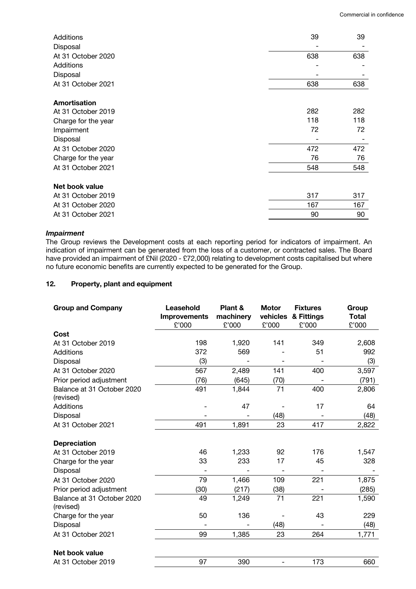| Additions           | 39  | 39  |
|---------------------|-----|-----|
| Disposal            |     |     |
| At 31 October 2020  | 638 | 638 |
| Additions           |     |     |
| Disposal            |     |     |
| At 31 October 2021  | 638 | 638 |
| Amortisation        |     |     |
| At 31 October 2019  | 282 | 282 |
| Charge for the year | 118 | 118 |
| Impairment          | 72  | 72  |
| Disposal            |     |     |
| At 31 October 2020  | 472 | 472 |
| Charge for the year | 76  | 76  |
| At 31 October 2021  | 548 | 548 |
| Net book value      |     |     |
| At 31 October 2019  | 317 | 317 |
| At 31 October 2020  | 167 | 167 |
| At 31 October 2021  | 90  | 90  |

# *Impairment*

The Group reviews the Development costs at each reporting period for indicators of impairment. An indication of impairment can be generated from the loss of a customer, or contracted sales. The Board have provided an impairment of £Nil (2020 - £72,000) relating to development costs capitalised but where no future economic benefits are currently expected to be generated for the Group.

# **12. Property, plant and equipment**

| <b>Group and Company</b>                | Leasehold<br><b>Improvements</b><br>£'000 | Plant &<br>machinery<br>£'000 | <b>Motor</b><br>vehicles<br>£'000 | <b>Fixtures</b><br>& Fittings<br>£'000 | Group<br><b>Total</b><br>£'000 |
|-----------------------------------------|-------------------------------------------|-------------------------------|-----------------------------------|----------------------------------------|--------------------------------|
| Cost                                    |                                           |                               |                                   |                                        |                                |
| At 31 October 2019                      | 198                                       | 1,920                         | 141                               | 349                                    | 2,608                          |
| <b>Additions</b>                        | 372                                       | 569                           |                                   | 51                                     | 992                            |
| Disposal                                | (3)                                       |                               |                                   |                                        | (3)                            |
| At 31 October 2020                      | 567                                       | 2,489                         | 141                               | 400                                    | 3,597                          |
| Prior period adjustment                 | (76)                                      | (645)                         | (70)                              |                                        | (791)                          |
| Balance at 31 October 2020<br>(revised) | 491                                       | 1,844                         | 71                                | 400                                    | 2,806                          |
| <b>Additions</b>                        |                                           | 47                            |                                   | 17                                     | 64                             |
| Disposal                                |                                           |                               | (48)                              |                                        | (48)                           |
| At 31 October 2021                      | 491                                       | 1,891                         | 23                                | 417                                    | 2,822                          |
| <b>Depreciation</b>                     |                                           |                               |                                   |                                        |                                |
| At 31 October 2019                      | 46                                        | 1,233                         | 92                                | 176                                    | 1,547                          |
| Charge for the year                     | 33                                        | 233                           | 17                                | 45                                     | 328                            |
| Disposal                                |                                           |                               |                                   |                                        |                                |
| At 31 October 2020                      | 79                                        | 1,466                         | 109                               | 221                                    | 1,875                          |
| Prior period adjustment                 | (30)                                      | (217)                         | (38)                              |                                        | (285)                          |
| Balance at 31 October 2020<br>(revised) | 49                                        | 1,249                         | 71                                | 221                                    | 1,590                          |
| Charge for the year                     | 50                                        | 136                           |                                   | 43                                     | 229                            |
| Disposal                                |                                           |                               | (48)                              |                                        | (48)                           |
| At 31 October 2021                      | 99                                        | 1,385                         | 23                                | 264                                    | 1,771                          |
| Net book value                          |                                           |                               |                                   |                                        |                                |
| At 31 October 2019                      | 97                                        | 390                           |                                   | 173                                    | 660                            |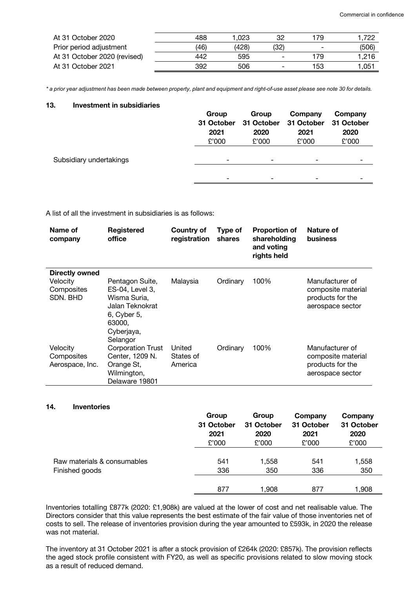| At 31 October 2020           | 488  | .023  | 32                       | 179                      | 1.722 |
|------------------------------|------|-------|--------------------------|--------------------------|-------|
| Prior period adjustment      | (46) | (428) | (32)                     | $\overline{\phantom{0}}$ | (506) |
| At 31 October 2020 (revised) | 442  | 595   | $\overline{\phantom{0}}$ | 179                      | 1.216 |
| At 31 October 2021           | 392  | 506   | $\overline{\phantom{a}}$ | 153                      | 1.051 |

*\* a prior year adjustment has been made between property, plant and equipment and right-of-use asset please see note 30 for details.*

# **13. Investment in subsidiaries**

|                         | Group<br>31 October<br>2021<br>£'000 | Group<br>31 October<br>2020<br>£'000 | Company<br>31 October<br>2021<br>£'000 | Company<br>31 October<br>2020<br>£'000 |
|-------------------------|--------------------------------------|--------------------------------------|----------------------------------------|----------------------------------------|
| Subsidiary undertakings | -                                    | -                                    | -                                      |                                        |
|                         | -                                    | $\overline{\phantom{0}}$             | $\overline{\phantom{0}}$               |                                        |
|                         |                                      |                                      |                                        |                                        |

A list of all the investment in subsidiaries is as follows:

| Name of<br>company                                   | Registered<br>office                                                                                                     | Country of<br>registration     | Type of<br>shares | <b>Proportion of</b><br>shareholding<br>and voting<br>rights held | Nature of<br><b>business</b>                                                  |
|------------------------------------------------------|--------------------------------------------------------------------------------------------------------------------------|--------------------------------|-------------------|-------------------------------------------------------------------|-------------------------------------------------------------------------------|
| Directly owned<br>Velocity<br>Composites<br>SDN, BHD | Pentagon Suite,<br>ES-04, Level 3,<br>Wisma Suria,<br>Jalan Teknokrat<br>6, Cyber 5,<br>63000,<br>Cyberjaya,<br>Selangor | Malaysia                       | Ordinary          | 100%                                                              | Manufacturer of<br>composite material<br>products for the<br>aerospace sector |
| Velocity<br>Composites<br>Aerospace, Inc.            | <b>Corporation Trust</b><br>Center, 1209 N.<br>Orange St,<br>Wilmington,<br>Delaware 19801                               | United<br>States of<br>America | Ordinary          | 100%                                                              | Manufacturer of<br>composite material<br>products for the<br>aerospace sector |

#### **14. Inventories**

|                             | Group      | Group      | Company    | Company    |
|-----------------------------|------------|------------|------------|------------|
|                             | 31 October | 31 October | 31 October | 31 October |
|                             | 2021       | 2020       | 2021       | 2020       |
|                             | £'000      | £'000      | £'000      | £'000      |
| Raw materials & consumables | 541        | 1,558      | 541        | 1,558      |
| Finished goods              | 336        | 350        | 336        | 350        |
|                             | 877        | 1,908      | 877        | 1,908      |

Inventories totalling £877k (2020: £1,908k) are valued at the lower of cost and net realisable value. The Directors consider that this value represents the best estimate of the fair value of those inventories net of costs to sell. The release of inventories provision during the year amounted to £593k, in 2020 the release was not material.

The inventory at 31 October 2021 is after a stock provision of £264k (2020: £857k). The provision reflects the aged stock profile consistent with FY20, as well as specific provisions related to slow moving stock as a result of reduced demand.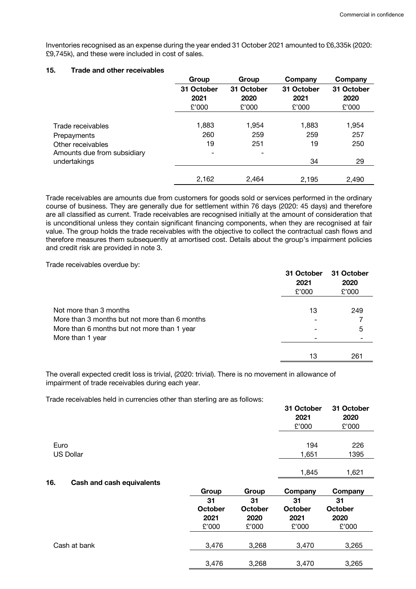Inventories recognised as an expense during the year ended 31 October 2021 amounted to £6,335k (2020: £9,745k), and these were included in cost of sales.

## **15. Trade and other receivables**

|                             | Group                    | Group      | Company    | Company    |
|-----------------------------|--------------------------|------------|------------|------------|
|                             | 31 October               | 31 October | 31 October | 31 October |
|                             | 2021                     | 2020       | 2021       | 2020       |
|                             | £'000                    | £'000      | £'000      | £'000      |
|                             |                          |            |            |            |
| Trade receivables           | 1,883                    | 1,954      | 1,883      | 1,954      |
| Prepayments                 | 260                      | 259        | 259        | 257        |
| Other receivables           | 19                       | 251        | 19         | 250        |
| Amounts due from subsidiary | $\overline{\phantom{0}}$ |            |            |            |
| undertakings                |                          |            | 34         | 29         |
|                             |                          |            |            |            |
|                             | 2,162                    | 2,464      | 2,195      | 2,490      |

Trade receivables are amounts due from customers for goods sold or services performed in the ordinary course of business. They are generally due for settlement within 76 days (2020: 45 days) and therefore are all classified as current. Trade receivables are recognised initially at the amount of consideration that is unconditional unless they contain significant financing components, when they are recognised at fair value. The group holds the trade receivables with the objective to collect the contractual cash flows and therefore measures them subsequently at amortised cost. Details about the group's impairment policies and credit risk are provided in note 3.

Trade receivables overdue by:

|                                               | 31 October<br>2021<br>£'000 | 31 October<br>2020<br>£'000 |
|-----------------------------------------------|-----------------------------|-----------------------------|
| Not more than 3 months                        | 13                          | 249                         |
| More than 3 months but not more than 6 months |                             |                             |
| More than 6 months but not more than 1 year   |                             | 5                           |
| More than 1 year                              |                             |                             |
|                                               | 13                          | 261                         |

The overall expected credit loss is trivial, (2020: trivial). There is no movement in allowance of impairment of trade receivables during each year.

Trade receivables held in currencies other than sterling are as follows:

|                                         |                 |                        | 31 October<br>2021<br>£'000 | 31 October<br>2020<br>£'000 |
|-----------------------------------------|-----------------|------------------------|-----------------------------|-----------------------------|
| Euro<br><b>US Dollar</b>                |                 |                        | 194<br>1,651                | 226<br>1395                 |
|                                         |                 |                        | 1,845                       | 1,621                       |
| 16.<br><b>Cash and cash equivalents</b> |                 |                        |                             |                             |
|                                         | Group           | Group                  | Company                     | Company                     |
|                                         | 31              | 31                     | 31                          | 31                          |
|                                         | October<br>2021 | <b>October</b><br>2020 | <b>October</b><br>2021      | <b>October</b><br>2020      |
|                                         | £'000           | £'000                  | £'000                       | £'000                       |
| Cash at bank                            | 3,476           | 3,268                  | 3,470                       | 3,265                       |
|                                         | 3,476           | 3,268                  | 3,470                       | 3,265                       |
|                                         |                 |                        |                             |                             |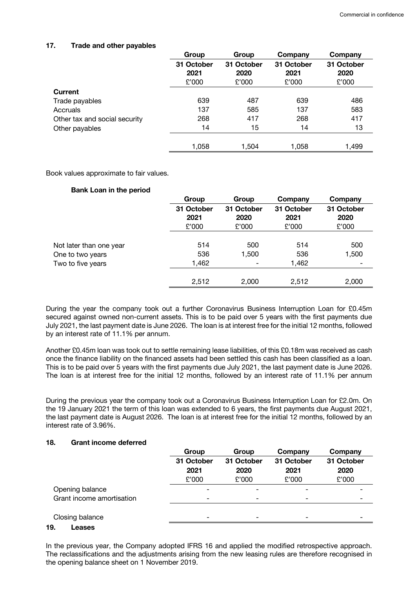# **17. Trade and other payables**

|                               | Group      | Group      | Company    | Company    |
|-------------------------------|------------|------------|------------|------------|
|                               | 31 October | 31 October | 31 October | 31 October |
|                               | 2021       | 2020       | 2021       | 2020       |
|                               | £'000      | £'000      | £'000      | £'000      |
| Current                       |            |            |            |            |
| Trade payables                | 639        | 487        | 639        | 486        |
| Accruals                      | 137        | 585        | 137        | 583        |
| Other tax and social security | 268        | 417        | 268        | 417        |
| Other payables                | 14         | 15         | 14         | 13         |
|                               | 1,058      | 1,504      | 1,058      | 1,499      |

Book values approximate to fair values.

# **Bank Loan in the period**

|                         | Group              | Group              | Company            | Company            |
|-------------------------|--------------------|--------------------|--------------------|--------------------|
|                         | 31 October<br>2021 | 31 October<br>2020 | 31 October<br>2021 | 31 October<br>2020 |
|                         | £'000              | £'000              | £'000              | £'000              |
| Not later than one year | 514                | 500                | 514                | 500                |
| One to two years        | 536                | 1,500              | 536                | 1,500              |
| Two to five years       | 1,462              | -                  | 1,462              |                    |
|                         | 2,512              | 2,000              | 2.512              | 2,000              |

During the year the company took out a further Coronavirus Business Interruption Loan for £0.45m secured against owned non-current assets. This is to be paid over 5 years with the first payments due July 2021, the last payment date is June 2026. The loan is at interest free for the initial 12 months, followed by an interest rate of 11.1% per annum.

Another £0.45m loan was took out to settle remaining lease liabilities, of this £0.18m was received as cash once the finance liability on the financed assets had been settled this cash has been classified as a loan. This is to be paid over 5 years with the first payments due July 2021, the last payment date is June 2026. The loan is at interest free for the initial 12 months, followed by an interest rate of 11.1% per annum

During the previous year the company took out a Coronavirus Business Interruption Loan for £2.0m. On the 19 January 2021 the term of this loan was extended to 6 years, the first payments due August 2021, the last payment date is August 2026. The loan is at interest free for the initial 12 months, followed by an interest rate of 3.96%.

# **18. Grant income deferred**

|                           | Group                    | Group      | Company                  | Company    |
|---------------------------|--------------------------|------------|--------------------------|------------|
|                           | 31 October               | 31 October | 31 October               | 31 October |
|                           | 2021                     | 2020       | 2021                     | 2020       |
|                           | £'000                    | £'000      | £'000                    | £'000      |
| Opening balance           | $\overline{\phantom{a}}$ |            | -                        |            |
| Grant income amortisation | -                        |            | $\overline{\phantom{0}}$ |            |
|                           |                          |            |                          |            |
| Closing balance           | $\overline{\phantom{a}}$ |            | $\overline{\phantom{0}}$ |            |
| ____                      |                          |            |                          |            |

#### **19. Leases**

In the previous year, the Company adopted IFRS 16 and applied the modified retrospective approach. The reclassifications and the adjustments arising from the new leasing rules are therefore recognised in the opening balance sheet on 1 November 2019.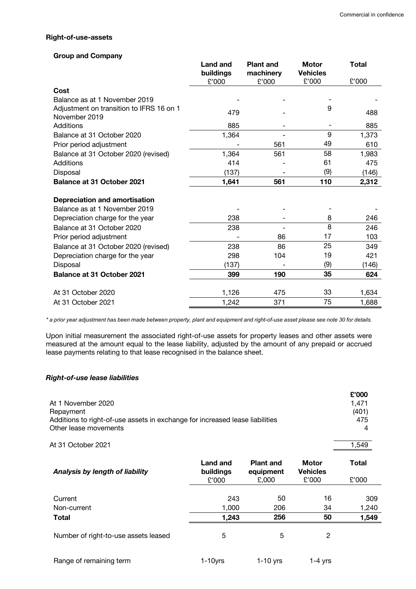#### **Right-of-use-assets**

## **Group and Company**

|                                                           | <b>Land and</b><br>buildings<br>£'000 | <b>Plant and</b><br>machinery<br>£'000 | <b>Motor</b><br><b>Vehicles</b><br>£'000 | <b>Total</b><br>£'000 |
|-----------------------------------------------------------|---------------------------------------|----------------------------------------|------------------------------------------|-----------------------|
| Cost                                                      |                                       |                                        |                                          |                       |
| Balance as at 1 November 2019                             |                                       |                                        |                                          |                       |
| Adjustment on transition to IFRS 16 on 1<br>November 2019 | 479                                   |                                        | 9                                        | 488                   |
| Additions                                                 | 885                                   |                                        |                                          | 885                   |
| Balance at 31 October 2020                                | 1,364                                 |                                        | 9                                        | 1,373                 |
| Prior period adjustment                                   |                                       | 561                                    | 49                                       | 610                   |
| Balance at 31 October 2020 (revised)                      | 1,364                                 | 561                                    | 58                                       | 1,983                 |
| Additions                                                 | 414                                   |                                        | 61                                       | 475                   |
| Disposal                                                  | (137)                                 |                                        | (9)                                      | (146)                 |
| <b>Balance at 31 October 2021</b>                         | 1,641                                 | 561                                    | 110                                      | 2,312                 |
| <b>Depreciation and amortisation</b>                      |                                       |                                        |                                          |                       |
| Balance as at 1 November 2019                             |                                       |                                        |                                          |                       |
| Depreciation charge for the year                          | 238                                   |                                        | 8                                        | 246                   |
| Balance at 31 October 2020                                | 238                                   |                                        | 8                                        | 246                   |
| Prior period adjustment                                   |                                       | 86                                     | 17                                       | 103                   |
| Balance at 31 October 2020 (revised)                      | 238                                   | 86                                     | 25                                       | 349                   |
| Depreciation charge for the year                          | 298                                   | 104                                    | 19                                       | 421                   |
| Disposal                                                  | (137)                                 |                                        | (9)                                      | (146)                 |
| <b>Balance at 31 October 2021</b>                         | 399                                   | 190                                    | 35                                       | 624                   |
| At 31 October 2020                                        | 1,126                                 | 475                                    | 33                                       | 1,634                 |
| At 31 October 2021                                        | 1,242                                 | 371                                    | 75                                       | 1,688                 |

*\* a prior year adjustment has been made between property, plant and equipment and right-of-use asset please see note 30 for details.*

Upon initial measurement the associated right-of-use assets for property leases and other assets were measured at the amount equal to the lease liability, adjusted by the amount of any prepaid or accrued lease payments relating to that lease recognised in the balance sheet.

# *Right-of-use lease liabilities*

| At 1 November 2020<br>Repayment<br>Additions to right-of-use assets in exchange for increased lease liabilities<br>Other lease movements |                                |                                        |                                          | £'000<br>1,471<br>(401)<br>475<br>4 |
|------------------------------------------------------------------------------------------------------------------------------------------|--------------------------------|----------------------------------------|------------------------------------------|-------------------------------------|
| At 31 October 2021                                                                                                                       |                                |                                        |                                          | 1,549                               |
| Analysis by length of liability                                                                                                          | Land and<br>buildings<br>£'000 | <b>Plant and</b><br>equipment<br>£,000 | <b>Motor</b><br><b>Vehicles</b><br>£'000 | Total<br>£'000                      |
| Current<br>Non-current                                                                                                                   | 243<br>1,000                   | 50<br>206                              | 16<br>34                                 | 309<br>1,240                        |
| Total                                                                                                                                    | 1,243                          | 256                                    | 50                                       | 1,549                               |
| Number of right-to-use assets leased                                                                                                     | 5                              | 5                                      | 2                                        |                                     |

Range of remaining term 1-10yrs 1-10 yrs 1-4 yrs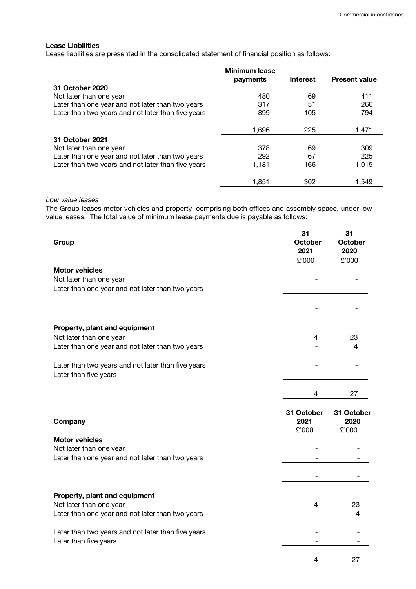#### **Lease Liabilities**

Lease liabilities are presented in the consolidated statement of financial position as follows:

| <b>Minimum lease</b> | <b>Interest</b> | <b>Present value</b> |
|----------------------|-----------------|----------------------|
|                      |                 |                      |
| 480                  | 69              | 411                  |
| 317                  | 51              | 266                  |
| 899                  | 105             | 794                  |
|                      |                 |                      |
| 1,696                | 225             | 1,471                |
|                      |                 |                      |
| 378                  | 69              | 309                  |
| 292                  | 67              | 225                  |
| 1,181                | 166             | 1,015                |
|                      |                 |                      |
| 1,851                | 302             | 1,549                |
|                      | payments        |                      |

#### *Low value leases*

The Group leases motor vehicles and property, comprising both offices and assembly space, under low value leases. The total value of minimum lease payments due is payable as follows:

| Group                                                                       | 31<br><b>October</b><br>2021<br>£'000 | 31<br><b>October</b><br>2020<br>£'000 |
|-----------------------------------------------------------------------------|---------------------------------------|---------------------------------------|
| <b>Motor vehicles</b>                                                       |                                       |                                       |
| Not later than one year                                                     |                                       |                                       |
| Later than one year and not later than two years                            |                                       |                                       |
|                                                                             |                                       |                                       |
| Property, plant and equipment                                               |                                       |                                       |
| Not later than one year                                                     | 4                                     | 23                                    |
| Later than one year and not later than two years                            |                                       | 4                                     |
| Later than two years and not later than five years                          |                                       |                                       |
| Later than five years                                                       |                                       |                                       |
|                                                                             | 4                                     | 27                                    |
| Company                                                                     | 31 October<br>2021                    | 31 October<br>2020                    |
|                                                                             | £'000                                 | £'000                                 |
| <b>Motor vehicles</b>                                                       |                                       |                                       |
| Not later than one year<br>Later than one year and not later than two years |                                       |                                       |
|                                                                             |                                       |                                       |
|                                                                             |                                       |                                       |
| Property, plant and equipment                                               |                                       |                                       |
| Not later than one year                                                     | 4                                     | 23                                    |
| Later than one year and not later than two years                            |                                       | 4                                     |
| Later than two years and not later than five years                          |                                       |                                       |
| Later than five years                                                       |                                       |                                       |
|                                                                             | 4                                     | 27                                    |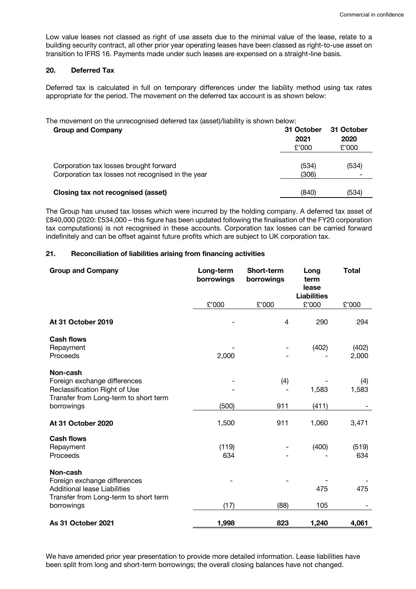Low value leases not classed as right of use assets due to the minimal value of the lease, relate to a building security contract, all other prior year operating leases have been classed as right-to-use asset on transition to IFRS 16. Payments made under such leases are expensed on a straight-line basis.

#### **20. Deferred Tax**

Deferred tax is calculated in full on temporary differences under the liability method using tax rates appropriate for the period. The movement on the deferred tax account is as shown below:

The movement on the unrecognised deferred tax (asset)/liability is shown below:

| <b>Group and Company</b>                                                                    | 31 October<br>2021<br>£'000 | 31 October<br>2020<br>£'000 |
|---------------------------------------------------------------------------------------------|-----------------------------|-----------------------------|
| Corporation tax losses brought forward<br>Corporation tax losses not recognised in the year | (534)<br>(306)              | (534)                       |
| Closing tax not recognised (asset)                                                          | (840)                       | (534)                       |

The Group has unused tax losses which were incurred by the holding company. A deferred tax asset of £840,000 (2020: £534,000 – this figure has been updated following the finalisation of the FY20 corporation tax computations) is not recognised in these accounts. Corporation tax losses can be carried forward indefinitely and can be offset against future profits which are subject to UK corporation tax.

# **21. Reconciliation of liabilities arising from financing activities**

| <b>Group and Company</b><br>Long-term<br><b>Short-term</b><br>borrowings<br>borrowings                                   |              | Long<br>term<br>lease | <b>Total</b>                |                |
|--------------------------------------------------------------------------------------------------------------------------|--------------|-----------------------|-----------------------------|----------------|
|                                                                                                                          | £'000        | £'000                 | <b>Liabilities</b><br>£'000 | £'000          |
| At 31 October 2019                                                                                                       |              | 4                     | 290                         | 294            |
| <b>Cash flows</b><br>Repayment<br>Proceeds                                                                               | 2,000        |                       | (402)                       | (402)<br>2,000 |
| Non-cash<br>Foreign exchange differences<br>Reclassification Right of Use<br>Transfer from Long-term to short term       |              | (4)                   | 1,583                       | (4)<br>1,583   |
| borrowings                                                                                                               | (500)        | 911                   | (411)                       |                |
| At 31 October 2020                                                                                                       | 1,500        | 911                   | 1,060                       | 3,471          |
| <b>Cash flows</b><br>Repayment<br>Proceeds                                                                               | (119)<br>634 |                       | (400)                       | (519)<br>634   |
| Non-cash<br>Foreign exchange differences<br><b>Additional lease Liabilities</b><br>Transfer from Long-term to short term |              |                       | 475                         | 475            |
| borrowings                                                                                                               | (17)         | (88)                  | 105                         |                |
| As 31 October 2021                                                                                                       | 1,998        | 823                   | 1,240                       | 4,061          |

We have amended prior year presentation to provide more detailed information. Lease liabilities have been split from long and short-term borrowings; the overall closing balances have not changed.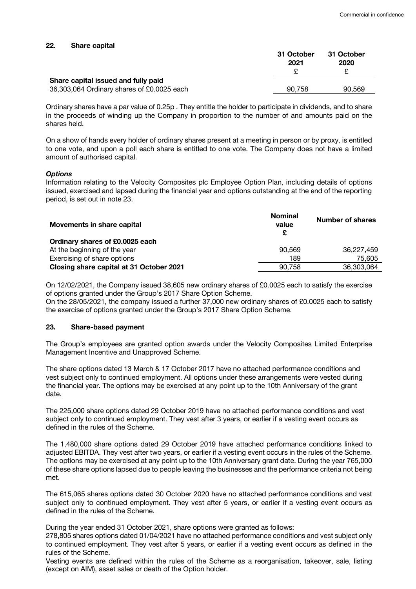#### **22. Share capital**

|                                            | 31 October<br>2021 | 31 October<br>2020 |
|--------------------------------------------|--------------------|--------------------|
| Share capital issued and fully paid        |                    |                    |
| 36,303,064 Ordinary shares of £0.0025 each | 90.758             | 90.569             |

Ordinary shares have a par value of 0.25p . They entitle the holder to participate in dividends, and to share in the proceeds of winding up the Company in proportion to the number of and amounts paid on the shares held.

On a show of hands every holder of ordinary shares present at a meeting in person or by proxy, is entitled to one vote, and upon a poll each share is entitled to one vote. The Company does not have a limited amount of authorised capital.

#### *Options*

Information relating to the Velocity Composites plc Employee Option Plan, including details of options issued, exercised and lapsed during the financial year and options outstanding at the end of the reporting period, is set out in note 23.

| Movements in share capital               | <b>Nominal</b><br>value | <b>Number of shares</b> |
|------------------------------------------|-------------------------|-------------------------|
| Ordinary shares of £0.0025 each          |                         |                         |
| At the beginning of the year             | 90.569                  | 36,227,459              |
| Exercising of share options              | 189                     | 75.605                  |
| Closing share capital at 31 October 2021 | 90.758                  | 36,303,064              |

On 12/02/2021, the Company issued 38,605 new ordinary shares of £0.0025 each to satisfy the exercise of options granted under the Group's 2017 Share Option Scheme.

On the 28/05/2021, the company issued a further 37,000 new ordinary shares of £0.0025 each to satisfy the exercise of options granted under the Group's 2017 Share Option Scheme.

# **23. Share-based payment**

The Group's employees are granted option awards under the Velocity Composites Limited Enterprise Management Incentive and Unapproved Scheme.

The share options dated 13 March & 17 October 2017 have no attached performance conditions and vest subject only to continued employment. All options under these arrangements were vested during the financial year. The options may be exercised at any point up to the 10th Anniversary of the grant date.

The 225,000 share options dated 29 October 2019 have no attached performance conditions and vest subject only to continued employment. They vest after 3 years, or earlier if a vesting event occurs as defined in the rules of the Scheme.

The 1,480,000 share options dated 29 October 2019 have attached performance conditions linked to adjusted EBITDA. They vest after two years, or earlier if a vesting event occurs in the rules of the Scheme. The options may be exercised at any point up to the 10th Anniversary grant date. During the year 765,000 of these share options lapsed due to people leaving the businesses and the performance criteria not being met.

The 615,065 shares options dated 30 October 2020 have no attached performance conditions and vest subject only to continued employment. They vest after 5 years, or earlier if a vesting event occurs as defined in the rules of the Scheme.

During the year ended 31 October 2021, share options were granted as follows:

278,805 shares options dated 01/04/2021 have no attached performance conditions and vest subject only to continued employment. They vest after 5 years, or earlier if a vesting event occurs as defined in the rules of the Scheme.

Vesting events are defined within the rules of the Scheme as a reorganisation, takeover, sale, listing (except on AIM), asset sales or death of the Option holder.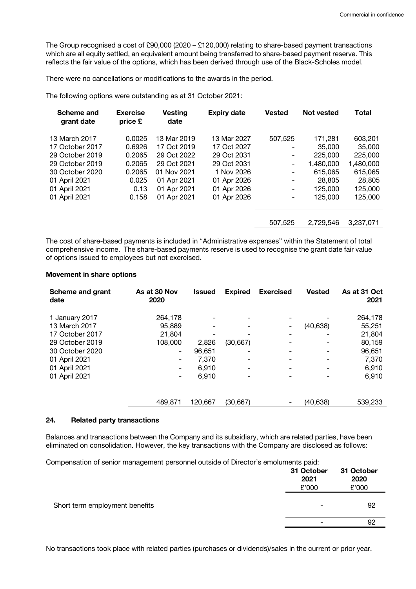The Group recognised a cost of £90,000 (2020 – £120,000) relating to share-based payment transactions which are all equity settled, an equivalent amount being transferred to share-based payment reserve. This reflects the fair value of the options, which has been derived through use of the Black-Scholes model.

There were no cancellations or modifications to the awards in the period.

The following options were outstanding as at 31 October 2021:

| Scheme and<br>grant date | <b>Exercise</b><br>price £ | <b>Vesting</b><br>date | <b>Expiry date</b> | <b>Vested</b> | Not vested | <b>Total</b> |
|--------------------------|----------------------------|------------------------|--------------------|---------------|------------|--------------|
| 13 March 2017            | 0.0025                     | 13 Mar 2019            | 13 Mar 2027        | 507,525       | 171,281    | 603,201      |
| 17 October 2017          | 0.6926                     | 17 Oct 2019            | 17 Oct 2027        |               | 35,000     | 35,000       |
| 29 October 2019          | 0.2065                     | 29 Oct 2022            | 29 Oct 2031        |               | 225,000    | 225,000      |
| 29 October 2019          | 0.2065                     | 29 Oct 2021            | 29 Oct 2031        | -             | 1.480.000  | 1,480,000    |
| 30 October 2020          | 0.2065                     | 01 Nov 2021            | 1 Nov 2026         | -             | 615,065    | 615,065      |
| 01 April 2021            | 0.025                      | 01 Apr 2021            | 01 Apr 2026        |               | 28,805     | 28,805       |
| 01 April 2021            | 0.13                       | 01 Apr 2021            | 01 Apr 2026        |               | 125,000    | 125,000      |
| 01 April 2021            | 0.158                      | 01 Apr 2021            | 01 Apr 2026        | -             | 125,000    | 125,000      |
|                          |                            |                        |                    | 507.525       | 2,729,546  | 3,237,071    |

The cost of share-based payments is included in "Administrative expenses" within the Statement of total comprehensive income. The share-based payments reserve is used to recognise the grant date fair value of options issued to employees but not exercised.

#### **Movement in share options**

| Scheme and grant<br>date         | As at 30 Nov<br>2020     | <b>Issued</b> | <b>Expired</b>           | <b>Exercised</b> | <b>Vested</b> | As at 31 Oct<br>2021 |
|----------------------------------|--------------------------|---------------|--------------------------|------------------|---------------|----------------------|
| 1 January 2017                   | 264,178                  |               |                          |                  |               | 264,178              |
| 13 March 2017<br>17 October 2017 | 95,889<br>21.804         |               | $\overline{\phantom{0}}$ |                  | (40, 638)     | 55,251<br>21,804     |
| 29 October 2019                  | 108,000                  | 2,826         | (30, 667)                |                  |               | 80,159               |
| 30 October 2020                  | -                        | 96,651        | -                        |                  |               | 96,651               |
| 01 April 2021                    | -                        | 7.370         | $\overline{\phantom{a}}$ |                  |               | 7,370                |
| 01 April 2021                    | -                        | 6.910         | -                        |                  |               | 6,910                |
| 01 April 2021                    | $\overline{\phantom{a}}$ | 6,910         | -                        |                  |               | 6,910                |
|                                  | 489,871                  | 120,667       | (30,667)                 |                  | (40, 638)     | 539,233              |

#### **24. Related party transactions**

Balances and transactions between the Company and its subsidiary, which are related parties, have been eliminated on consolidation. However, the key transactions with the Company are disclosed as follows:

Compensation of senior management personnel outside of Director's emoluments paid:

|                                | 31 October<br>2021<br>£'000 | 31 October<br>2020<br>£'000 |
|--------------------------------|-----------------------------|-----------------------------|
| Short term employment benefits | $\overline{\phantom{a}}$    | 92                          |
|                                |                             | 92                          |
|                                |                             |                             |

No transactions took place with related parties (purchases or dividends)/sales in the current or prior year.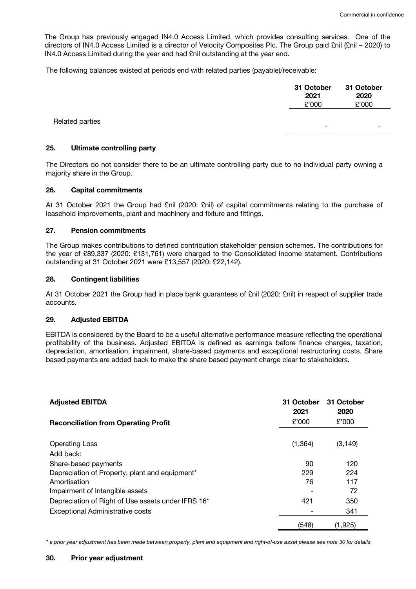The Group has previously engaged IN4.0 Access Limited, which provides consulting services. One of the directors of IN4.0 Access Limited is a director of Velocity Composites Plc. The Group paid £nil (£nil – 2020) to IN4.0 Access Limited during the year and had £nil outstanding at the year end.

The following balances existed at periods end with related parties (payable)/receivable:

|                 | 31 October<br>2021<br>£'000 | 31 October<br>2020<br>£'000 |
|-----------------|-----------------------------|-----------------------------|
| Related parties | $\overline{\phantom{0}}$    | -                           |

# **25. Ultimate controlling party**

The Directors do not consider there to be an ultimate controlling party due to no individual party owning a majority share in the Group.

#### **26. Capital commitments**

At 31 October 2021 the Group had £nil (2020: £nil) of capital commitments relating to the purchase of leasehold improvements, plant and machinery and fixture and fittings.

# **27. Pension commitments**

The Group makes contributions to defined contribution stakeholder pension schemes. The contributions for the year of £89,337 (2020: £131,761) were charged to the Consolidated Income statement. Contributions outstanding at 31 October 2021 were £13,557 (2020: £22,142).

# **28. Contingent liabilities**

At 31 October 2021 the Group had in place bank guarantees of £nil (2020: £nil) in respect of supplier trade accounts.

# **29. Adjusted EBITDA**

EBITDA is considered by the Board to be a useful alternative performance measure reflecting the operational profitability of the business. Adjusted EBITDA is defined as earnings before finance charges, taxation, depreciation, amortisation, impairment, share-based payments and exceptional restructuring costs. Share based payments are added back to make the share based payment charge clear to stakeholders.

| <b>Adjusted EBITDA</b>                             | 31 October<br>2021 | 31 October<br>2020 |
|----------------------------------------------------|--------------------|--------------------|
| <b>Reconciliation from Operating Profit</b>        | £'000              | £'000              |
|                                                    |                    |                    |
| <b>Operating Loss</b>                              | (1, 364)           | (3, 149)           |
| Add back:                                          |                    |                    |
| Share-based payments                               | 90                 | 120                |
| Depreciation of Property, plant and equipment*     | 229                | 224                |
| Amortisation                                       | 76                 | 117                |
| Impairment of Intangible assets                    |                    | 72                 |
| Depreciation of Right of Use assets under IFRS 16* | 421                | 350                |
| Exceptional Administrative costs                   |                    | 341                |
|                                                    | (548)              | (1,925)            |

*\* a prior year adjustment has been made between property, plant and equipment and right-of-use asset please see note 30 for details.*